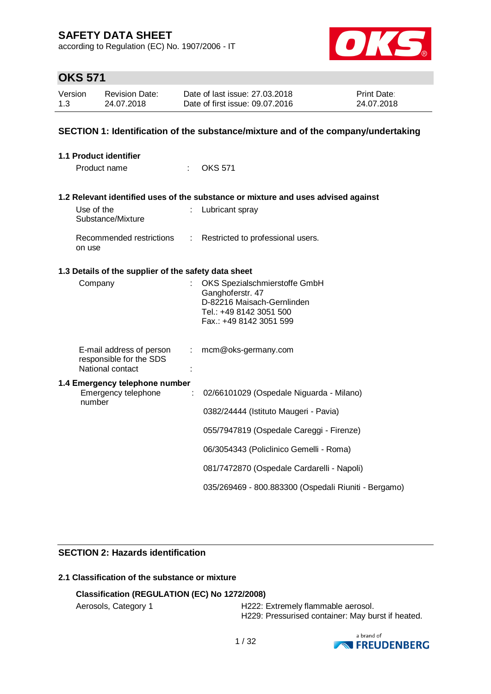according to Regulation (EC) No. 1907/2006 - IT



# **OKS 571**

| Version | <b>Revision Date:</b> | Date of last issue: 27,03,2018  | <b>Print Date:</b> |
|---------|-----------------------|---------------------------------|--------------------|
| 1.3     | 24.07.2018            | Date of first issue: 09.07.2016 | 24.07.2018         |

### **SECTION 1: Identification of the substance/mixture and of the company/undertaking**

| 1.1 Product identifier                                                  |                                                                                                                                       |
|-------------------------------------------------------------------------|---------------------------------------------------------------------------------------------------------------------------------------|
| Product name                                                            | <b>OKS 571</b>                                                                                                                        |
|                                                                         | 1.2 Relevant identified uses of the substance or mixture and uses advised against                                                     |
| Use of the<br>Substance/Mixture                                         | Lubricant spray                                                                                                                       |
| Recommended restrictions<br>on use                                      | Restricted to professional users.<br>$\mathcal{L}$                                                                                    |
| 1.3 Details of the supplier of the safety data sheet                    |                                                                                                                                       |
| Company                                                                 | OKS Spezialschmierstoffe GmbH<br>Ganghoferstr. 47<br>D-82216 Maisach-Gernlinden<br>Tel.: +49 8142 3051 500<br>Fax.: +49 8142 3051 599 |
| E-mail address of person<br>responsible for the SDS<br>National contact | mcm@oks-germany.com<br>÷.                                                                                                             |
| 1.4 Emergency telephone number<br>Emergency telephone<br>number         | 02/66101029 (Ospedale Niguarda - Milano)<br>÷                                                                                         |
|                                                                         | 0382/24444 (Istituto Maugeri - Pavia)                                                                                                 |
|                                                                         | 055/7947819 (Ospedale Careggi - Firenze)                                                                                              |
|                                                                         | 06/3054343 (Policlinico Gemelli - Roma)                                                                                               |
|                                                                         | 081/7472870 (Ospedale Cardarelli - Napoli)                                                                                            |
|                                                                         | 035/269469 - 800.883300 (Ospedali Riuniti - Bergamo)                                                                                  |

### **SECTION 2: Hazards identification**

## **2.1 Classification of the substance or mixture**

## **Classification (REGULATION (EC) No 1272/2008)**

Aerosols, Category 1 **H222: Extremely flammable aerosol.** H229: Pressurised container: May burst if heated.

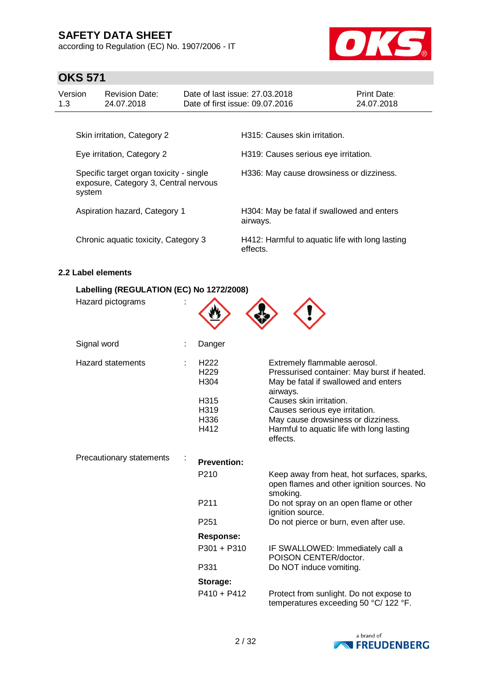according to Regulation (EC) No. 1907/2006 - IT



# **OKS 571**

| Version<br>1.3                                                                             | <b>Revision Date:</b><br>24.07.2018  |  | Date of last issue: 27,03,2018<br>Date of first issue: 09.07.2016 | Print Date:<br>24.07.2018 |  |
|--------------------------------------------------------------------------------------------|--------------------------------------|--|-------------------------------------------------------------------|---------------------------|--|
|                                                                                            | Skin irritation, Category 2          |  | H315: Causes skin irritation.                                     |                           |  |
| Eye irritation, Category 2                                                                 |                                      |  | H319: Causes serious eye irritation.                              |                           |  |
| Specific target organ toxicity - single<br>exposure, Category 3, Central nervous<br>system |                                      |  | H336: May cause drowsiness or dizziness.                          |                           |  |
|                                                                                            | Aspiration hazard, Category 1        |  | H304: May be fatal if swallowed and enters<br>airways.            |                           |  |
|                                                                                            | Chronic aquatic toxicity, Category 3 |  | H412: Harmful to aquatic life with long lasting<br>effects.       |                           |  |

### **2.2 Label elements**

#### **Labelling (REGULATION (EC) No 1272/2008)**

| Hazard pictograms        |                                                                              |                                                                                                                                                                                                                                                                                             |
|--------------------------|------------------------------------------------------------------------------|---------------------------------------------------------------------------------------------------------------------------------------------------------------------------------------------------------------------------------------------------------------------------------------------|
| Signal word              | Danger                                                                       |                                                                                                                                                                                                                                                                                             |
| <b>Hazard statements</b> | H <sub>222</sub><br>H <sub>229</sub><br>H304<br>H315<br>H319<br>H336<br>H412 | Extremely flammable aerosol.<br>Pressurised container: May burst if heated.<br>May be fatal if swallowed and enters<br>airways.<br>Causes skin irritation.<br>Causes serious eye irritation.<br>May cause drowsiness or dizziness.<br>Harmful to aquatic life with long lasting<br>effects. |
| Precautionary statements | <b>Prevention:</b>                                                           |                                                                                                                                                                                                                                                                                             |
|                          | P210                                                                         | Keep away from heat, hot surfaces, sparks,<br>open flames and other ignition sources. No<br>smoking.                                                                                                                                                                                        |
|                          | P <sub>211</sub>                                                             | Do not spray on an open flame or other<br>ignition source.                                                                                                                                                                                                                                  |
|                          | P <sub>251</sub>                                                             | Do not pierce or burn, even after use.                                                                                                                                                                                                                                                      |
|                          | <b>Response:</b>                                                             |                                                                                                                                                                                                                                                                                             |
|                          | P301 + P310                                                                  | IF SWALLOWED: Immediately call a<br>POISON CENTER/doctor.                                                                                                                                                                                                                                   |
|                          | P331                                                                         | Do NOT induce vomiting.                                                                                                                                                                                                                                                                     |
|                          | Storage:                                                                     |                                                                                                                                                                                                                                                                                             |
|                          | $P410 + P412$                                                                | Protect from sunlight. Do not expose to<br>temperatures exceeding 50 °C/ 122 °F.                                                                                                                                                                                                            |

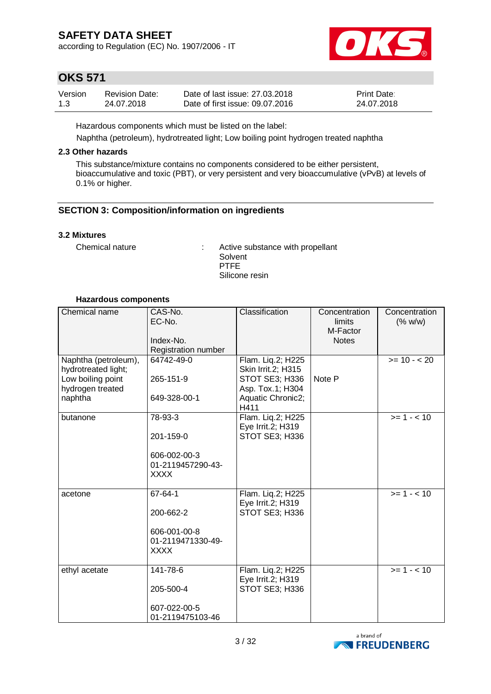according to Regulation (EC) No. 1907/2006 - IT



## **OKS 571**

| Version | Revision Date: | Date of last issue: 27,03,2018  | <b>Print Date:</b> |
|---------|----------------|---------------------------------|--------------------|
| 1.3     | 24.07.2018     | Date of first issue: 09.07.2016 | 24.07.2018         |

Hazardous components which must be listed on the label:

Naphtha (petroleum), hydrotreated light; Low boiling point hydrogen treated naphtha

### **2.3 Other hazards**

This substance/mixture contains no components considered to be either persistent, bioaccumulative and toxic (PBT), or very persistent and very bioaccumulative (vPvB) at levels of 0.1% or higher.

### **SECTION 3: Composition/information on ingredients**

### **3.2 Mixtures**

Chemical nature : Active substance with propellant **Solvent** PTFE Silicone resin

#### **Hazardous components**

| Chemical name                                                                                   | CAS-No.<br>EC-No.<br>Index-No.<br>Registration number                    | Classification                                                                                             | Concentration<br>limits<br>M-Factor<br><b>Notes</b> | Concentration<br>(% w/w) |
|-------------------------------------------------------------------------------------------------|--------------------------------------------------------------------------|------------------------------------------------------------------------------------------------------------|-----------------------------------------------------|--------------------------|
| Naphtha (petroleum),<br>hydrotreated light;<br>Low boiling point<br>hydrogen treated<br>naphtha | 64742-49-0<br>265-151-9<br>649-328-00-1                                  | Flam. Liq.2; H225<br>Skin Irrit.2; H315<br>STOT SE3; H336<br>Asp. Tox.1; H304<br>Aquatic Chronic2;<br>H411 | Note P                                              | $>= 10 - 20$             |
| butanone                                                                                        | 78-93-3<br>201-159-0<br>606-002-00-3<br>01-2119457290-43-<br><b>XXXX</b> | Flam. Liq.2; H225<br>Eye Irrit.2; H319<br>STOT SE3; H336                                                   |                                                     | $>= 1 - < 10$            |
| acetone                                                                                         | 67-64-1<br>200-662-2<br>606-001-00-8<br>01-2119471330-49-<br><b>XXXX</b> | Flam. Liq.2; H225<br>Eye Irrit.2; H319<br>STOT SE3; H336                                                   |                                                     | $>= 1 - < 10$            |
| ethyl acetate                                                                                   | 141-78-6<br>205-500-4<br>607-022-00-5<br>01-2119475103-46                | Flam. Liq.2; H225<br>Eye Irrit.2; H319<br>STOT SE3; H336                                                   |                                                     | $>= 1 - < 10$            |

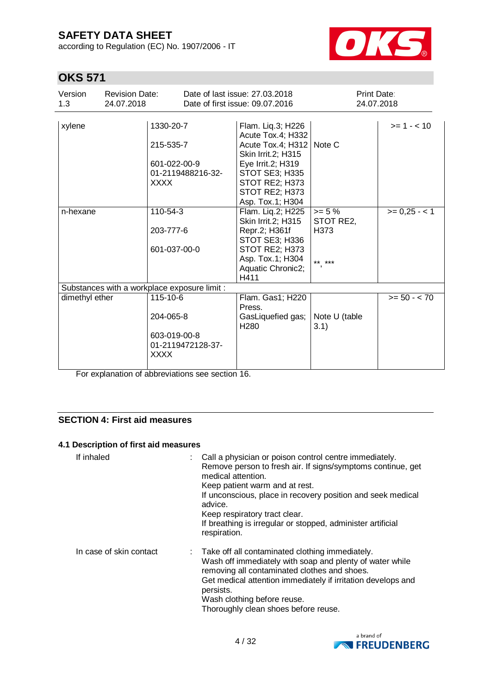according to Regulation (EC) No. 1907/2006 - IT



# **OKS 571**

| Version<br>1.3 | <b>Revision Date:</b><br>24.07.2018          |                                           | Date of last issue: 27,03,2018<br>Date of first issue: 09.07.2016 | <b>Print Date:</b><br>24.07.2018 |                |
|----------------|----------------------------------------------|-------------------------------------------|-------------------------------------------------------------------|----------------------------------|----------------|
| xylene         |                                              | 1330-20-7                                 | Flam. Liq.3; H226<br>Acute Tox.4; H332                            |                                  | $>= 1 - 10$    |
|                |                                              | 215-535-7                                 | Acute Tox.4; H312<br>Skin Irrit.2; H315                           | Note C                           |                |
|                |                                              | 601-022-00-9<br>01-2119488216-32-         | Eye Irrit.2; H319<br><b>STOT SE3; H335</b>                        |                                  |                |
|                |                                              | XXXX                                      | STOT RE2; H373<br>STOT RE2; H373                                  |                                  |                |
|                |                                              |                                           | Asp. Tox.1; H304                                                  |                                  |                |
| n-hexane       |                                              | 110-54-3                                  | Flam. Lig.2; H225<br>Skin Irrit.2; H315                           | $>= 5 \%$<br>STOT RE2,           | $>= 0,25 - 1$  |
|                |                                              | 203-777-6                                 | Repr.2; H361f<br>STOT SE3; H336                                   | H373                             |                |
|                |                                              | 601-037-00-0                              | STOT RE2; H373                                                    |                                  |                |
|                |                                              |                                           | Asp. Tox.1; H304<br>Aquatic Chronic2;<br>H411                     | ** ***                           |                |
|                | Substances with a workplace exposure limit : |                                           |                                                                   |                                  |                |
| dimethyl ether |                                              | 115-10-6                                  | Flam. Gas1; H220<br>Press.                                        |                                  | $>= 50 - < 70$ |
|                |                                              | 204-065-8                                 | GasLiquefied gas;<br>H <sub>280</sub>                             | Note U (table<br>3.1)            |                |
|                |                                              | 603-019-00-8<br>01-2119472128-37-<br>XXXX |                                                                   |                                  |                |
|                |                                              |                                           |                                                                   |                                  |                |

For explanation of abbreviations see section 16.

### **SECTION 4: First aid measures**

#### **4.1 Description of first aid measures**

| If inhaled              | Call a physician or poison control centre immediately.<br>Remove person to fresh air. If signs/symptoms continue, get<br>medical attention.<br>Keep patient warm and at rest.<br>If unconscious, place in recovery position and seek medical<br>advice.<br>Keep respiratory tract clear.<br>If breathing is irregular or stopped, administer artificial<br>respiration. |
|-------------------------|-------------------------------------------------------------------------------------------------------------------------------------------------------------------------------------------------------------------------------------------------------------------------------------------------------------------------------------------------------------------------|
| In case of skin contact | : Take off all contaminated clothing immediately.<br>Wash off immediately with soap and plenty of water while<br>removing all contaminated clothes and shoes.<br>Get medical attention immediately if irritation develops and<br>persists.<br>Wash clothing before reuse.<br>Thoroughly clean shoes before reuse.                                                       |

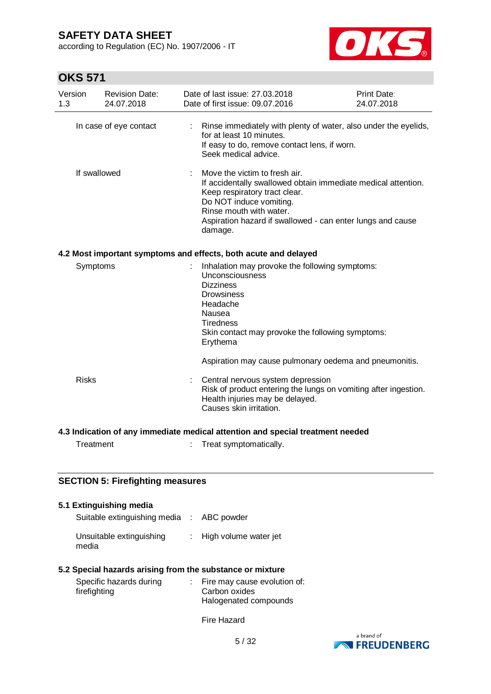according to Regulation (EC) No. 1907/2006 - IT



# **OKS 571**

| Version<br>1.3         | <b>Revision Date:</b><br>24.07.2018                                            | Date of last issue: 27.03.2018<br>Date of first issue: 09.07.2016                                                                                                                                                    | <b>Print Date:</b><br>24.07.2018                                                                                            |  |  |  |
|------------------------|--------------------------------------------------------------------------------|----------------------------------------------------------------------------------------------------------------------------------------------------------------------------------------------------------------------|-----------------------------------------------------------------------------------------------------------------------------|--|--|--|
| In case of eye contact |                                                                                | for at least 10 minutes.<br>Seek medical advice.                                                                                                                                                                     | Rinse immediately with plenty of water, also under the eyelids,<br>If easy to do, remove contact lens, if worn.             |  |  |  |
|                        | If swallowed                                                                   | Move the victim to fresh air.<br>Keep respiratory tract clear.<br>Do NOT induce vomiting.<br>Rinse mouth with water.<br>damage.                                                                                      | If accidentally swallowed obtain immediate medical attention.<br>Aspiration hazard if swallowed - can enter lungs and cause |  |  |  |
|                        |                                                                                | 4.2 Most important symptoms and effects, both acute and delayed                                                                                                                                                      |                                                                                                                             |  |  |  |
|                        | Symptoms                                                                       | Inhalation may provoke the following symptoms:<br>Unconsciousness<br><b>Dizziness</b><br><b>Drowsiness</b><br>Headache<br>Nausea<br><b>Tiredness</b><br>Skin contact may provoke the following symptoms:<br>Erythema |                                                                                                                             |  |  |  |
| <b>Risks</b>           |                                                                                | Central nervous system depression<br>Health injuries may be delayed.<br>Causes skin irritation.                                                                                                                      | Aspiration may cause pulmonary oedema and pneumonitis.<br>Risk of product entering the lungs on vomiting after ingestion.   |  |  |  |
|                        | 4.3 Indication of any immediate medical attention and special treatment needed |                                                                                                                                                                                                                      |                                                                                                                             |  |  |  |
|                        | Treatment                                                                      | Treat symptomatically.                                                                                                                                                                                               |                                                                                                                             |  |  |  |

### **SECTION 5: Firefighting measures**

| 5.1 Extinguishing media                   |                         |
|-------------------------------------------|-------------------------|
| Suitable extinguishing media : ABC powder |                         |
| Unsuitable extinguishing<br>media         | : High volume water jet |

### **5.2 Special hazards arising from the substance or mixture**

| Specific hazards during | Fire may cause evolution of: |
|-------------------------|------------------------------|
| firefighting            | Carbon oxides                |
|                         | Halogenated compounds        |

Fire Hazard

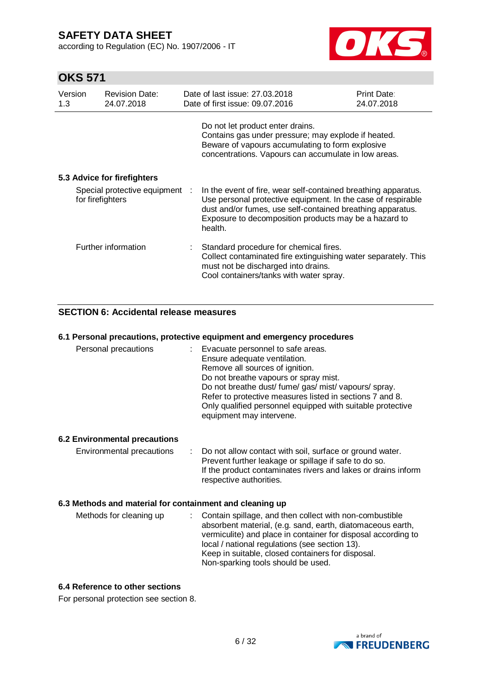according to Regulation (EC) No. 1907/2006 - IT



# **OKS 571**

| Version<br>1.3   | <b>Revision Date:</b><br>24.07.2018 | Date of last issue: 27.03.2018<br>Date of first issue: 09.07.2016                                                                                                                                                                                                | Print Date:<br>24.07.2018 |
|------------------|-------------------------------------|------------------------------------------------------------------------------------------------------------------------------------------------------------------------------------------------------------------------------------------------------------------|---------------------------|
|                  |                                     | Do not let product enter drains.<br>Contains gas under pressure; may explode if heated.<br>Beware of vapours accumulating to form explosive<br>concentrations. Vapours can accumulate in low areas.                                                              |                           |
|                  | 5.3 Advice for firefighters         |                                                                                                                                                                                                                                                                  |                           |
| for firefighters | Special protective equipment :      | In the event of fire, wear self-contained breathing apparatus.<br>Use personal protective equipment. In the case of respirable<br>dust and/or fumes, use self-contained breathing apparatus.<br>Exposure to decomposition products may be a hazard to<br>health. |                           |
|                  | Further information                 | Standard procedure for chemical fires.<br>Collect contaminated fire extinguishing water separately. This<br>must not be discharged into drains.<br>Cool containers/tanks with water spray.                                                                       |                           |

### **SECTION 6: Accidental release measures**

#### **6.1 Personal precautions, protective equipment and emergency procedures**

| Personal precautions                                     |    | : Evacuate personnel to safe areas.<br>Ensure adequate ventilation.<br>Remove all sources of ignition.<br>Do not breathe vapours or spray mist.<br>Do not breathe dust/fume/gas/mist/vapours/spray.<br>Refer to protective measures listed in sections 7 and 8.<br>Only qualified personnel equipped with suitable protective<br>equipment may intervene. |
|----------------------------------------------------------|----|-----------------------------------------------------------------------------------------------------------------------------------------------------------------------------------------------------------------------------------------------------------------------------------------------------------------------------------------------------------|
| 6.2 Environmental precautions                            |    |                                                                                                                                                                                                                                                                                                                                                           |
| Environmental precautions                                | ÷. | Do not allow contact with soil, surface or ground water.<br>Prevent further leakage or spillage if safe to do so.<br>If the product contaminates rivers and lakes or drains inform<br>respective authorities.                                                                                                                                             |
| 6.3 Methods and material for containment and cleaning up |    |                                                                                                                                                                                                                                                                                                                                                           |
| Methods for cleaning up                                  |    | Contain spillage, and then collect with non-combustible<br>absorbent material, (e.g. sand, earth, diatomaceous earth,<br>vermiculite) and place in container for disposal according to<br>local / national regulations (see section 13).<br>Keep in suitable, closed containers for disposal.<br>Non-sparking tools should be used.                       |

### **6.4 Reference to other sections**

For personal protection see section 8.

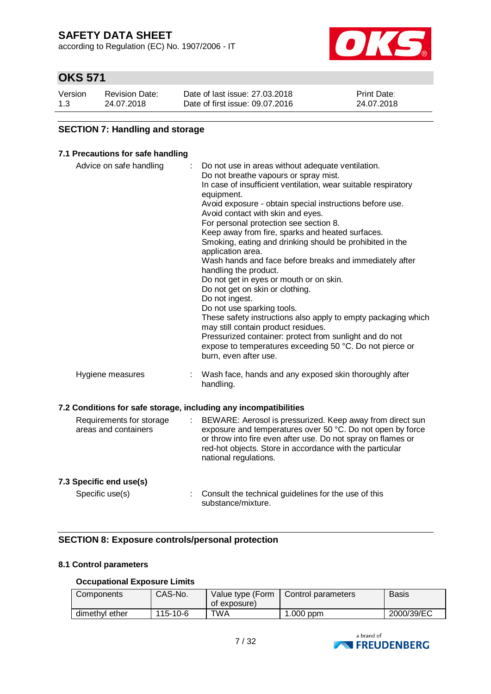according to Regulation (EC) No. 1907/2006 - IT



# **OKS 571**

| Version | <b>Revision Date:</b> | Date of last issue: 27,03,2018  | <b>Print Date:</b> |
|---------|-----------------------|---------------------------------|--------------------|
| 1.3     | 24.07.2018            | Date of first issue: 09.07.2016 | 24.07.2018         |

### **SECTION 7: Handling and storage**

#### **7.1 Precautions for safe handling**

| Advice on safe handling                                          |   | Do not use in areas without adequate ventilation.<br>Do not breathe vapours or spray mist.<br>In case of insufficient ventilation, wear suitable respiratory<br>equipment.<br>Avoid exposure - obtain special instructions before use.<br>Avoid contact with skin and eyes.<br>For personal protection see section 8.<br>Keep away from fire, sparks and heated surfaces.<br>Smoking, eating and drinking should be prohibited in the<br>application area.<br>Wash hands and face before breaks and immediately after<br>handling the product.<br>Do not get in eyes or mouth or on skin.<br>Do not get on skin or clothing.<br>Do not ingest.<br>Do not use sparking tools.<br>These safety instructions also apply to empty packaging which<br>may still contain product residues.<br>Pressurized container: protect from sunlight and do not<br>expose to temperatures exceeding 50 °C. Do not pierce or<br>burn, even after use. |
|------------------------------------------------------------------|---|--------------------------------------------------------------------------------------------------------------------------------------------------------------------------------------------------------------------------------------------------------------------------------------------------------------------------------------------------------------------------------------------------------------------------------------------------------------------------------------------------------------------------------------------------------------------------------------------------------------------------------------------------------------------------------------------------------------------------------------------------------------------------------------------------------------------------------------------------------------------------------------------------------------------------------------|
| Hygiene measures                                                 | ÷ | Wash face, hands and any exposed skin thoroughly after<br>handling.                                                                                                                                                                                                                                                                                                                                                                                                                                                                                                                                                                                                                                                                                                                                                                                                                                                                  |
| 7.2 Conditions for safe storage, including any incompatibilities |   |                                                                                                                                                                                                                                                                                                                                                                                                                                                                                                                                                                                                                                                                                                                                                                                                                                                                                                                                      |
| Requirements for storage<br>areas and containers                 |   | BEWARE: Aerosol is pressurized. Keep away from direct sun<br>exposure and temperatures over 50 °C. Do not open by force<br>or throw into fire even after use. Do not spray on flames or<br>red-hot objects. Store in accordance with the particular<br>national regulations.                                                                                                                                                                                                                                                                                                                                                                                                                                                                                                                                                                                                                                                         |
| 7.3 Specific end use(s)                                          |   |                                                                                                                                                                                                                                                                                                                                                                                                                                                                                                                                                                                                                                                                                                                                                                                                                                                                                                                                      |

Specific use(s) : Consult the technical guidelines for the use of this substance/mixture.

### **SECTION 8: Exposure controls/personal protection**

#### **8.1 Control parameters**

### **Occupational Exposure Limits**

| Components     | CAS-No.  | Value type (Form<br>of exposure) | Control parameters | <b>Basis</b> |
|----------------|----------|----------------------------------|--------------------|--------------|
| dimethyl ether | 115-10-6 | TWA                              | $1.000$ ppm        | 2000/39/EC   |

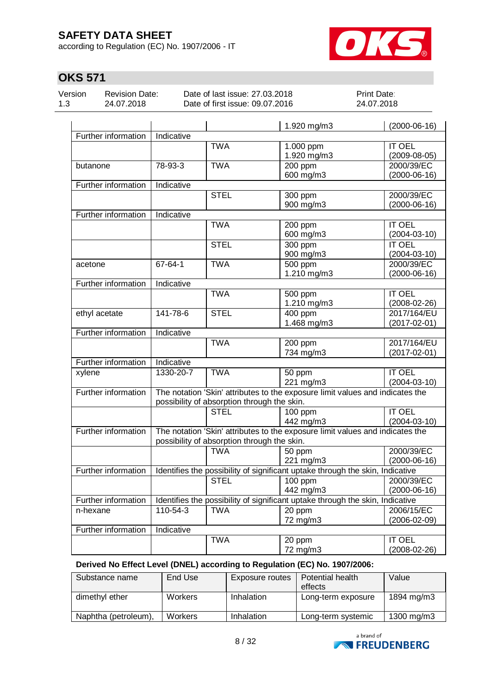according to Regulation (EC) No. 1907/2006 - IT



# **OKS 571**

| Version |  |
|---------|--|
| 1.3     |  |

Revision Date: 24.07.2018

Date of last issue: 27.03.2018 Date of first issue: 09.07.2016 Print Date: 24.07.2018

|                     |                                                                                                                              |                                             | 1.920 mg/m3                                                                   | $(2000-06-16)$     |  |  |
|---------------------|------------------------------------------------------------------------------------------------------------------------------|---------------------------------------------|-------------------------------------------------------------------------------|--------------------|--|--|
| Further information | Indicative                                                                                                                   |                                             |                                                                               |                    |  |  |
|                     |                                                                                                                              | <b>TWA</b>                                  | 1.000 ppm                                                                     | <b>IT OEL</b>      |  |  |
|                     |                                                                                                                              |                                             | 1.920 mg/m3                                                                   | $(2009-08-05)$     |  |  |
| butanone            | 78-93-3                                                                                                                      | <b>TWA</b>                                  | 200 ppm                                                                       | 2000/39/EC         |  |  |
|                     |                                                                                                                              |                                             | 600 mg/m3                                                                     | $(2000-06-16)$     |  |  |
| Further information | Indicative                                                                                                                   |                                             |                                                                               |                    |  |  |
|                     |                                                                                                                              | <b>STEL</b>                                 | 300 ppm                                                                       | 2000/39/EC         |  |  |
|                     |                                                                                                                              |                                             | 900 mg/m3                                                                     | $(2000-06-16)$     |  |  |
| Further information | Indicative                                                                                                                   |                                             |                                                                               |                    |  |  |
|                     |                                                                                                                              | <b>TWA</b>                                  | 200 ppm                                                                       | <b>IT OEL</b>      |  |  |
|                     |                                                                                                                              |                                             | 600 mg/m3                                                                     | $(2004 - 03 - 10)$ |  |  |
|                     |                                                                                                                              | <b>STEL</b>                                 | $300$ ppm                                                                     | <b>IT OEL</b>      |  |  |
|                     |                                                                                                                              |                                             | 900 mg/m3                                                                     | $(2004 - 03 - 10)$ |  |  |
| acetone             | 67-64-1                                                                                                                      | <b>TWA</b>                                  | 500 ppm                                                                       | 2000/39/EC         |  |  |
|                     |                                                                                                                              |                                             | 1.210 mg/m3                                                                   | $(2000-06-16)$     |  |  |
| Further information | Indicative                                                                                                                   |                                             |                                                                               |                    |  |  |
|                     |                                                                                                                              | <b>TWA</b>                                  | 500 ppm                                                                       | <b>IT OEL</b>      |  |  |
|                     |                                                                                                                              |                                             | 1.210 mg/m3                                                                   | $(2008-02-26)$     |  |  |
| ethyl acetate       | 141-78-6                                                                                                                     | <b>STEL</b>                                 | 400 ppm                                                                       | 2017/164/EU        |  |  |
|                     |                                                                                                                              |                                             | 1.468 mg/m3                                                                   | $(2017 - 02 - 01)$ |  |  |
| Further information | Indicative                                                                                                                   |                                             |                                                                               |                    |  |  |
|                     |                                                                                                                              | <b>TWA</b>                                  | 200 ppm                                                                       | 2017/164/EU        |  |  |
|                     |                                                                                                                              |                                             | 734 mg/m3                                                                     | $(2017 - 02 - 01)$ |  |  |
| Further information | Indicative                                                                                                                   |                                             |                                                                               |                    |  |  |
| xylene              | 1330-20-7                                                                                                                    | <b>TWA</b>                                  | 50 ppm                                                                        | <b>IT OEL</b>      |  |  |
|                     |                                                                                                                              |                                             | 221 mg/m3                                                                     | $(2004 - 03 - 10)$ |  |  |
| Further information | The notation 'Skin' attributes to the exposure limit values and indicates the<br>possibility of absorption through the skin. |                                             |                                                                               |                    |  |  |
|                     |                                                                                                                              |                                             |                                                                               |                    |  |  |
|                     |                                                                                                                              | <b>STEL</b>                                 | 100 ppm                                                                       | <b>IT OEL</b>      |  |  |
|                     |                                                                                                                              |                                             | 442 mg/m3                                                                     | $(2004 - 03 - 10)$ |  |  |
| Further information |                                                                                                                              |                                             | The notation 'Skin' attributes to the exposure limit values and indicates the |                    |  |  |
|                     |                                                                                                                              | possibility of absorption through the skin. |                                                                               |                    |  |  |
|                     |                                                                                                                              | <b>TWA</b>                                  | 50 ppm                                                                        | 2000/39/EC         |  |  |
|                     |                                                                                                                              |                                             | 221 mg/m3                                                                     | $(2000-06-16)$     |  |  |
| Further information |                                                                                                                              |                                             | Identifies the possibility of significant uptake through the skin, Indicative |                    |  |  |
|                     |                                                                                                                              | <b>STEL</b>                                 | 100 ppm                                                                       | 2000/39/EC         |  |  |
|                     |                                                                                                                              |                                             | 442 mg/m3                                                                     | $(2000-06-16)$     |  |  |
| Further information |                                                                                                                              |                                             | Identifies the possibility of significant uptake through the skin, Indicative |                    |  |  |
| n-hexane            | 110-54-3                                                                                                                     | <b>TWA</b>                                  | $\overline{20}$ ppm                                                           | 2006/15/EC         |  |  |
|                     |                                                                                                                              |                                             | 72 mg/m3                                                                      | $(2006 - 02 - 09)$ |  |  |
| Further information | <b>Indicative</b>                                                                                                            |                                             |                                                                               |                    |  |  |
|                     |                                                                                                                              | <b>TWA</b>                                  | 20 ppm                                                                        | <b>IT OEL</b>      |  |  |
|                     |                                                                                                                              |                                             | 72 mg/m3                                                                      | $(2008-02-26)$     |  |  |

**Derived No Effect Level (DNEL) according to Regulation (EC) No. 1907/2006:**

| Substance name       | End Use        | Exposure routes | Potential health   | Value      |
|----------------------|----------------|-----------------|--------------------|------------|
|                      |                |                 | effects            |            |
| dimethyl ether       | <b>Workers</b> | Inhalation      | Long-term exposure | 1894 mg/m3 |
| Naphtha (petroleum), | <b>Workers</b> | Inhalation      | Long-term systemic | 1300 mg/m3 |

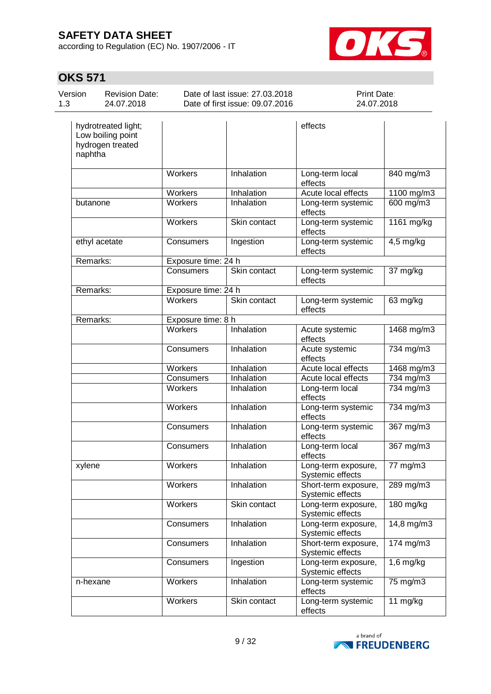according to Regulation (EC) No. 1907/2006 - IT



 $\overline{1}$ 

| Version<br>1.3 | <b>Revision Date:</b><br>24.07.2018 | Date of last issue: 27,03,2018<br>Date of first issue: 09.07.2016 |         | Print Date:<br>24.07.2018 |  |
|----------------|-------------------------------------|-------------------------------------------------------------------|---------|---------------------------|--|
|                | hydrotreated light;                 |                                                                   | effects |                           |  |

| Low boiling point<br>hydrogen treated<br>naphtha |                     |              |                                          |                |
|--------------------------------------------------|---------------------|--------------|------------------------------------------|----------------|
|                                                  | Workers             | Inhalation   | Long-term local<br>effects               | 840 mg/m3      |
|                                                  | Workers             | Inhalation   | Acute local effects                      | 1100 mg/m3     |
| butanone                                         | Workers             | Inhalation   | Long-term systemic<br>effects            | 600 mg/m3      |
|                                                  | Workers             | Skin contact | Long-term systemic<br>effects            | 1161 mg/kg     |
| ethyl acetate                                    | Consumers           | Ingestion    | Long-term systemic<br>effects            | $4,5$ mg/kg    |
| Remarks:                                         | Exposure time: 24 h |              |                                          |                |
|                                                  | Consumers           | Skin contact | Long-term systemic<br>effects            | 37 mg/kg       |
| Remarks:                                         | Exposure time: 24 h |              |                                          |                |
|                                                  | <b>Workers</b>      | Skin contact | Long-term systemic<br>effects            | 63 mg/kg       |
| Remarks:                                         | Exposure time: 8 h  |              |                                          |                |
|                                                  | Workers             | Inhalation   | Acute systemic<br>effects                | 1468 mg/m3     |
|                                                  | Consumers           | Inhalation   | Acute systemic<br>effects                | 734 mg/m3      |
|                                                  | Workers             | Inhalation   | Acute local effects                      | 1468 mg/m3     |
|                                                  | Consumers           | Inhalation   | Acute local effects                      | $734$ mg/m $3$ |
|                                                  | Workers             | Inhalation   | Long-term local<br>effects               | 734 mg/m3      |
|                                                  | Workers             | Inhalation   | Long-term systemic<br>effects            | 734 mg/m3      |
|                                                  | Consumers           | Inhalation   | Long-term systemic<br>effects            | 367 mg/m3      |
|                                                  | Consumers           | Inhalation   | Long-term local<br>effects               | 367 mg/m3      |
| xylene                                           | <b>Workers</b>      | Inhalation   | Long-term exposure,<br>Systemic effects  | 77 mg/m3       |
|                                                  | Workers             | Inhalation   | Short-term exposure,<br>Systemic effects | $289$ mg/m3    |
|                                                  | Workers             | Skin contact | Long-term exposure,<br>Systemic effects  | 180 mg/kg      |
|                                                  | Consumers           | Inhalation   | Long-term exposure,<br>Systemic effects  | 14,8 mg/m3     |
|                                                  | <b>Consumers</b>    | Inhalation   | Short-term exposure,<br>Systemic effects | 174 mg/m3      |
|                                                  | Consumers           | Ingestion    | Long-term exposure,<br>Systemic effects  | $1,6$ mg/kg    |
| n-hexane                                         | Workers             | Inhalation   | Long-term systemic<br>effects            | 75 mg/m3       |
|                                                  | Workers             | Skin contact | Long-term systemic<br>effects            | 11 mg/kg       |

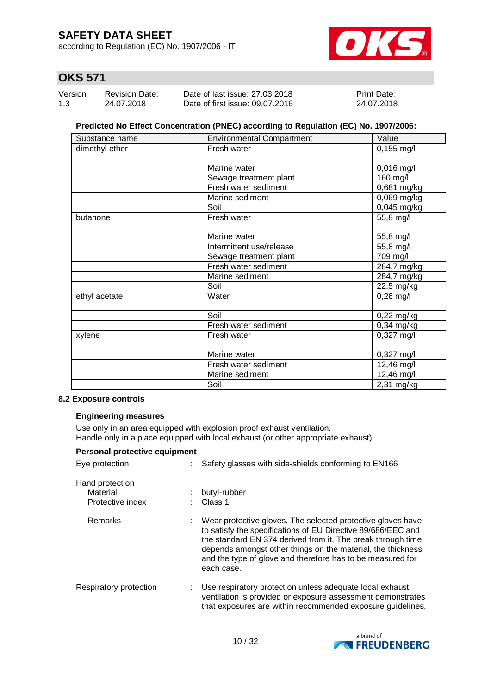according to Regulation (EC) No. 1907/2006 - IT



# **OKS 571**

| Version | <b>Revision Date:</b> | Date of last issue: 27,03,2018  | <b>Print Date:</b> |
|---------|-----------------------|---------------------------------|--------------------|
| 1.3     | 24.07.2018            | Date of first issue: 09.07.2016 | 24.07.2018         |

#### **Predicted No Effect Concentration (PNEC) according to Regulation (EC) No. 1907/2006:**

| Substance name | <b>Environmental Compartment</b> | Value                 |
|----------------|----------------------------------|-----------------------|
| dimethyl ether | Fresh water                      | $0,155$ mg/l          |
|                | Marine water                     | $0,016$ mg/l          |
|                | Sewage treatment plant           | 160 mg/l              |
|                | Fresh water sediment             | 0,681 mg/kg           |
|                | Marine sediment                  | 0,069 mg/kg           |
|                | Soil                             | $0,045$ mg/kg         |
| butanone       | Fresh water                      | 55,8 mg/l             |
|                | Marine water                     | 55,8 mg/l             |
|                | Intermittent use/release         | 55,8 mg/l             |
|                | Sewage treatment plant           | $\overline{7}09$ mg/l |
|                | Fresh water sediment             | 284,7 mg/kg           |
|                | Marine sediment                  | 284,7 mg/kg           |
|                | Soil                             | 22,5 mg/kg            |
| ethyl acetate  | Water                            | $0,26$ mg/l           |
|                | Soil                             | $0,22$ mg/kg          |
|                | Fresh water sediment             | $0,34$ mg/kg          |
| xylene         | Fresh water                      | 0,327 mg/l            |
|                | Marine water                     | $0,327$ mg/l          |
|                | Fresh water sediment             | 12,46 mg/l            |
|                | Marine sediment                  | 12,46 mg/l            |
|                | Soil                             | 2,31 mg/kg            |

#### **8.2 Exposure controls**

#### **Engineering measures**

Use only in an area equipped with explosion proof exhaust ventilation. Handle only in a place equipped with local exhaust (or other appropriate exhaust).

| Personal protective equipment                   |  |                                                                                                                                                                                                                                                                                                                                       |  |  |
|-------------------------------------------------|--|---------------------------------------------------------------------------------------------------------------------------------------------------------------------------------------------------------------------------------------------------------------------------------------------------------------------------------------|--|--|
| Eye protection                                  |  | Safety glasses with side-shields conforming to EN166                                                                                                                                                                                                                                                                                  |  |  |
| Hand protection<br>Material<br>Protective index |  | butyl-rubber<br>Class 1                                                                                                                                                                                                                                                                                                               |  |  |
| Remarks                                         |  | Wear protective gloves. The selected protective gloves have<br>to satisfy the specifications of EU Directive 89/686/EEC and<br>the standard EN 374 derived from it. The break through time<br>depends amongst other things on the material, the thickness<br>and the type of glove and therefore has to be measured for<br>each case. |  |  |
| Respiratory protection                          |  | Use respiratory protection unless adequate local exhaust<br>ventilation is provided or exposure assessment demonstrates<br>that exposures are within recommended exposure guidelines.                                                                                                                                                 |  |  |

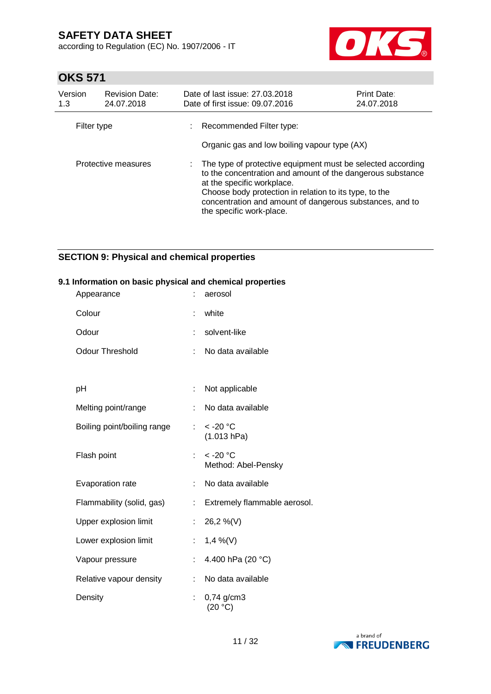according to Regulation (EC) No. 1907/2006 - IT



# **OKS 571**

| Version<br>1.3 | <b>Revision Date:</b><br>24.07.2018 | Date of last issue: 27,03,2018<br>Print Date:<br>Date of first issue: 09.07.2016<br>24.07.2018                                                                                                                                                                                                            |  |  |  |
|----------------|-------------------------------------|-----------------------------------------------------------------------------------------------------------------------------------------------------------------------------------------------------------------------------------------------------------------------------------------------------------|--|--|--|
| Filter type    |                                     | Recommended Filter type:<br>Organic gas and low boiling vapour type (AX)                                                                                                                                                                                                                                  |  |  |  |
|                | Protective measures                 | The type of protective equipment must be selected according<br>to the concentration and amount of the dangerous substance<br>at the specific workplace.<br>Choose body protection in relation to its type, to the<br>concentration and amount of dangerous substances, and to<br>the specific work-place. |  |  |  |

### **SECTION 9: Physical and chemical properties**

#### **9.1 Information on basic physical and chemical properties**

| Appearance                  |    | aerosol                                     |
|-----------------------------|----|---------------------------------------------|
| Colour                      |    | white                                       |
| Odour                       |    | solvent-like                                |
| <b>Odour Threshold</b>      | ÷  | No data available                           |
|                             |    |                                             |
| рH                          | t. | Not applicable                              |
| Melting point/range         | t  | No data available                           |
| Boiling point/boiling range |    | $: < -20$ °C<br>(1.013 hPa)                 |
| Flash point                 |    | $<$ -20 $^{\circ}$ C<br>Method: Abel-Pensky |
| Evaporation rate            |    | No data available                           |
| Flammability (solid, gas)   | t  | Extremely flammable aerosol.                |
| Upper explosion limit       | ÷  | 26,2 %(V)                                   |
| Lower explosion limit       | t. | $1,4\%$ (V)                                 |
| Vapour pressure             |    | 4.400 hPa (20 °C)                           |
| Relative vapour density     |    | No data available                           |
| Density                     | t. | $0,74$ g/cm3<br>(20 °C)                     |

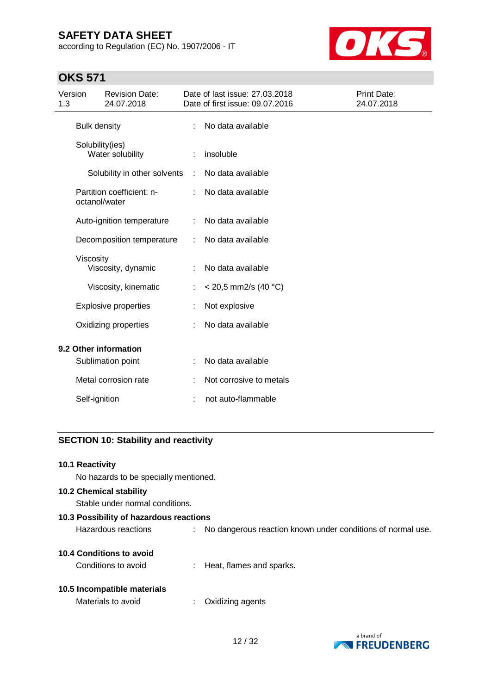according to Regulation (EC) No. 1907/2006 - IT



# **OKS 571**

| Version<br>1.3 |                     | <b>Revision Date:</b><br>24.07.2018 |           | Date of last issue: 27.03.2018<br>Date of first issue: 09.07.2016 | Print Date:<br>24.07.2018 |
|----------------|---------------------|-------------------------------------|-----------|-------------------------------------------------------------------|---------------------------|
|                | <b>Bulk density</b> |                                     | ÷         | No data available                                                 |                           |
|                |                     | Solubility(ies)<br>Water solubility | ÷         | insoluble                                                         |                           |
|                |                     | Solubility in other solvents        | $\sim$ 1. | No data available                                                 |                           |
|                | octanol/water       | Partition coefficient: n-           |           | No data available                                                 |                           |
|                |                     | Auto-ignition temperature           | ÷         | No data available                                                 |                           |
|                |                     | Decomposition temperature           | ÷         | No data available                                                 |                           |
|                | Viscosity           | Viscosity, dynamic                  | ÷         | No data available                                                 |                           |
|                |                     | Viscosity, kinematic                | ÷         | $<$ 20,5 mm2/s (40 °C)                                            |                           |
|                |                     | <b>Explosive properties</b>         |           | Not explosive                                                     |                           |
|                |                     | Oxidizing properties                |           | No data available                                                 |                           |
|                |                     | 9.2 Other information               |           |                                                                   |                           |
|                |                     | Sublimation point                   | ÷         | No data available                                                 |                           |
|                |                     | Metal corrosion rate                | ÷         | Not corrosive to metals                                           |                           |
|                | Self-ignition       |                                     |           | not auto-flammable                                                |                           |

### **SECTION 10: Stability and reactivity**

#### **10.1 Reactivity**

No hazards to be specially mentioned.

### **10.2 Chemical stability**

Stable under normal conditions.

| 10.3 Possibility of hazardous reactions                     |  |  |  |  |  |
|-------------------------------------------------------------|--|--|--|--|--|
| No dangerous reaction known under conditions of normal use. |  |  |  |  |  |
|                                                             |  |  |  |  |  |

### **10.4 Conditions to avoid**

Conditions to avoid : Heat, flames and sparks.

#### **10.5 Incompatible materials**

| Materials to avoid<br>Oxidizing agents |
|----------------------------------------|
|                                        |

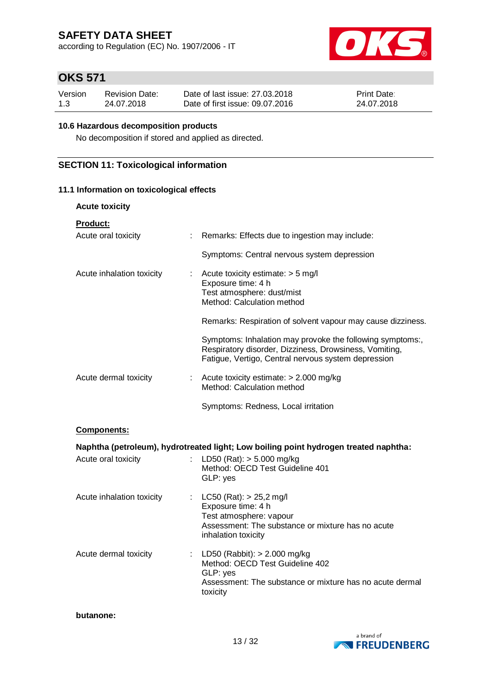according to Regulation (EC) No. 1907/2006 - IT



# **OKS 571**

| Version | Revision Date: | Date of last issue: 27,03,2018  | <b>Print Date:</b> |
|---------|----------------|---------------------------------|--------------------|
| 1.3     | 24.07.2018     | Date of first issue: 09.07.2016 | 24.07.2018         |

#### **10.6 Hazardous decomposition products**

No decomposition if stored and applied as directed.

### **SECTION 11: Toxicological information**

#### **11.1 Information on toxicological effects**

| <b>Acute toxicity</b>     |                                                                                                                                                                            |
|---------------------------|----------------------------------------------------------------------------------------------------------------------------------------------------------------------------|
| Product:                  |                                                                                                                                                                            |
| Acute oral toxicity       | Remarks: Effects due to ingestion may include:<br>÷.                                                                                                                       |
|                           | Symptoms: Central nervous system depression                                                                                                                                |
| Acute inhalation toxicity | Acute toxicity estimate: $>$ 5 mg/l<br>t.<br>Exposure time: 4 h<br>Test atmosphere: dust/mist<br>Method: Calculation method                                                |
|                           | Remarks: Respiration of solvent vapour may cause dizziness.                                                                                                                |
|                           | Symptoms: Inhalation may provoke the following symptoms:,<br>Respiratory disorder, Dizziness, Drowsiness, Vomiting,<br>Fatigue, Vertigo, Central nervous system depression |
| Acute dermal toxicity     | : Acute toxicity estimate: $> 2.000$ mg/kg<br>Method: Calculation method                                                                                                   |
|                           | Symptoms: Redness, Local irritation                                                                                                                                        |
| <b>Components:</b>        |                                                                                                                                                                            |
|                           | Naphtha (petroleum), hydrotreated light; Low boiling point hydrogen treated naphtha:                                                                                       |
| Acute oral toxicity       | $\mathcal{L}^{\mathcal{L}}$ .<br>LD50 (Rat): $> 5.000$ mg/kg<br>Method: OECD Test Guideline 401<br>GLP: yes                                                                |
| Acute inhalation toxicity | : $LC50 (Rat): > 25,2 \text{ mg/l}$<br>Exposure time: 4 h<br>Test atmosphere: vapour<br>Assessment: The substance or mixture has no acute<br>inhalation toxicity           |
| Acute dermal toxicity     | LD50 (Rabbit): $> 2.000$ mg/kg<br>t.<br>Method: OECD Test Guideline 402<br>GLP: yes<br>Assessment: The substance or mixture has no acute dermal<br>toxicity                |

#### **butanone:**

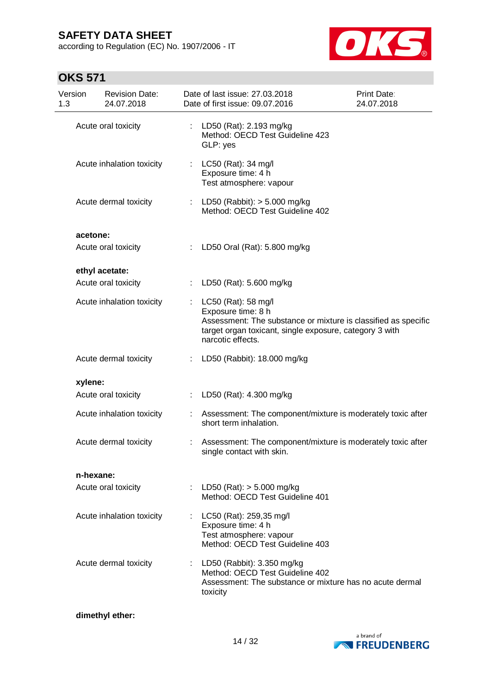according to Regulation (EC) No. 1907/2006 - IT



# **OKS 571**

| Version<br>1.3 | <b>Revision Date:</b><br>24.07.2018 |    | Date of last issue: 27.03.2018<br>Date of first issue: 09.07.2016                                                                                                                           | Print Date:<br>24.07.2018 |
|----------------|-------------------------------------|----|---------------------------------------------------------------------------------------------------------------------------------------------------------------------------------------------|---------------------------|
|                | Acute oral toxicity                 | ÷  | LD50 (Rat): 2.193 mg/kg<br>Method: OECD Test Guideline 423<br>GLP: yes                                                                                                                      |                           |
|                | Acute inhalation toxicity           | ÷  | LC50 (Rat): 34 mg/l<br>Exposure time: 4 h<br>Test atmosphere: vapour                                                                                                                        |                           |
|                | Acute dermal toxicity               |    | LD50 (Rabbit): > 5.000 mg/kg<br>Method: OECD Test Guideline 402                                                                                                                             |                           |
| acetone:       |                                     |    |                                                                                                                                                                                             |                           |
|                | Acute oral toxicity                 |    | : LD50 Oral (Rat): 5.800 mg/kg                                                                                                                                                              |                           |
|                | ethyl acetate:                      |    |                                                                                                                                                                                             |                           |
|                | Acute oral toxicity                 | ÷  | LD50 (Rat): 5.600 mg/kg                                                                                                                                                                     |                           |
|                | Acute inhalation toxicity           | ÷  | LC50 (Rat): 58 mg/l<br>Exposure time: 8 h<br>Assessment: The substance or mixture is classified as specific<br>target organ toxicant, single exposure, category 3 with<br>narcotic effects. |                           |
|                | Acute dermal toxicity               | t. | LD50 (Rabbit): 18.000 mg/kg                                                                                                                                                                 |                           |
| xylene:        |                                     |    |                                                                                                                                                                                             |                           |
|                | Acute oral toxicity                 |    | LD50 (Rat): 4.300 mg/kg                                                                                                                                                                     |                           |
|                | Acute inhalation toxicity           |    | Assessment: The component/mixture is moderately toxic after<br>short term inhalation.                                                                                                       |                           |
|                | Acute dermal toxicity               | ÷  | Assessment: The component/mixture is moderately toxic after<br>single contact with skin.                                                                                                    |                           |
|                | n-hexane:                           |    |                                                                                                                                                                                             |                           |
|                | Acute oral toxicity                 | ÷  | LD50 (Rat): $> 5.000$ mg/kg<br>Method: OECD Test Guideline 401                                                                                                                              |                           |
|                | Acute inhalation toxicity           | ÷. | LC50 (Rat): 259,35 mg/l<br>Exposure time: 4 h<br>Test atmosphere: vapour<br>Method: OECD Test Guideline 403                                                                                 |                           |
|                | Acute dermal toxicity               |    | LD50 (Rabbit): 3.350 mg/kg<br>Method: OECD Test Guideline 402<br>Assessment: The substance or mixture has no acute dermal<br>toxicity                                                       |                           |

### **dimethyl ether:**

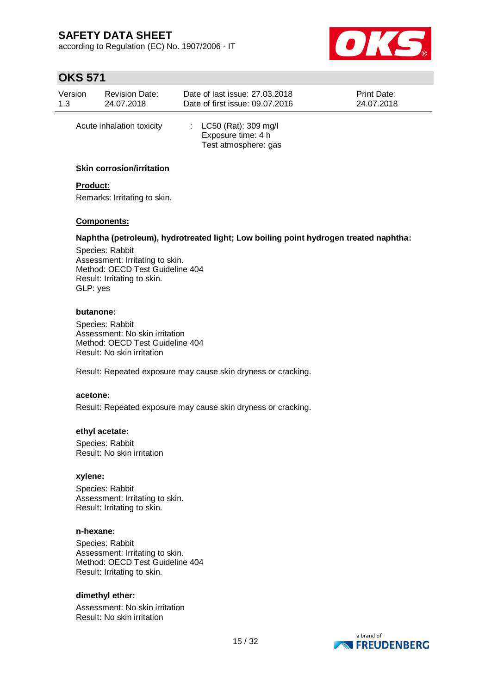according to Regulation (EC) No. 1907/2006 - IT



## **OKS 571**

| <b>Revision Date:</b> |                           | Date of last issue: 27.03.2018                                         |  |  |
|-----------------------|---------------------------|------------------------------------------------------------------------|--|--|
| Version               |                           | Print Date:                                                            |  |  |
| 1.3                   |                           | Date of first issue: 09.07.2016                                        |  |  |
| 24.07.2018            |                           | 24.07.2018                                                             |  |  |
|                       | Acute inhalation toxicity | : $LC50$ (Rat): 309 mg/l<br>Exposure time: 4 h<br>Test atmosphere: gas |  |  |

#### **Skin corrosion/irritation**

### **Product:**

Remarks: Irritating to skin.

#### **Components:**

#### **Naphtha (petroleum), hydrotreated light; Low boiling point hydrogen treated naphtha:**

Species: Rabbit Assessment: Irritating to skin. Method: OECD Test Guideline 404 Result: Irritating to skin. GLP: yes

#### **butanone:**

Species: Rabbit Assessment: No skin irritation Method: OECD Test Guideline 404 Result: No skin irritation

Result: Repeated exposure may cause skin dryness or cracking.

#### **acetone:**

Result: Repeated exposure may cause skin dryness or cracking.

#### **ethyl acetate:**

Species: Rabbit Result: No skin irritation

#### **xylene:**

Species: Rabbit Assessment: Irritating to skin. Result: Irritating to skin.

#### **n-hexane:**

Species: Rabbit Assessment: Irritating to skin. Method: OECD Test Guideline 404 Result: Irritating to skin.

#### **dimethyl ether:**

Assessment: No skin irritation Result: No skin irritation

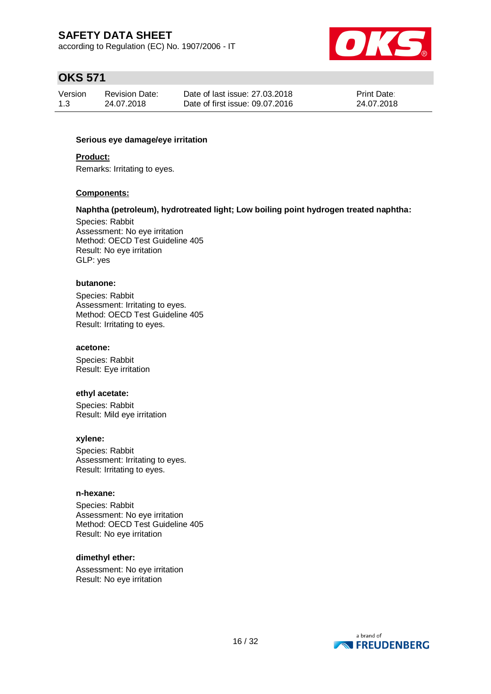according to Regulation (EC) No. 1907/2006 - IT



# **OKS 571**

| Version | <b>Revision Date:</b> | Date of last issue: 27.03.2018  | Print Date: |
|---------|-----------------------|---------------------------------|-------------|
| 1.3     | 24.07.2018            | Date of first issue: 09.07.2016 | 24.07.2018  |

#### **Serious eye damage/eye irritation**

#### **Product:**

Remarks: Irritating to eyes.

#### **Components:**

#### **Naphtha (petroleum), hydrotreated light; Low boiling point hydrogen treated naphtha:**

Species: Rabbit Assessment: No eye irritation Method: OECD Test Guideline 405 Result: No eye irritation GLP: yes

#### **butanone:**

Species: Rabbit Assessment: Irritating to eyes. Method: OECD Test Guideline 405 Result: Irritating to eyes.

#### **acetone:**

Species: Rabbit Result: Eye irritation

#### **ethyl acetate:**

Species: Rabbit Result: Mild eye irritation

#### **xylene:**

Species: Rabbit Assessment: Irritating to eyes. Result: Irritating to eyes.

#### **n-hexane:**

Species: Rabbit Assessment: No eye irritation Method: OECD Test Guideline 405 Result: No eye irritation

#### **dimethyl ether:**

Assessment: No eye irritation Result: No eye irritation

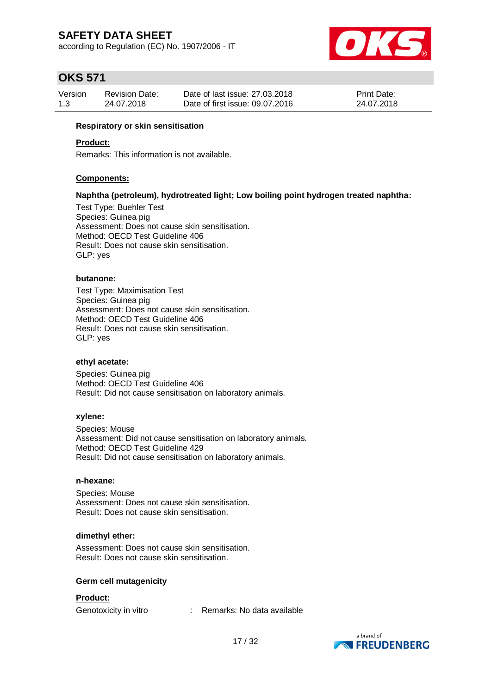according to Regulation (EC) No. 1907/2006 - IT



# **OKS 571**

| Version | <b>Revision Date:</b> | Date of last issue: 27,03,2018  | Print Date: |
|---------|-----------------------|---------------------------------|-------------|
| 1.3     | 24.07.2018            | Date of first issue: 09.07.2016 | 24.07.2018  |

#### **Respiratory or skin sensitisation**

#### **Product:**

Remarks: This information is not available.

#### **Components:**

#### **Naphtha (petroleum), hydrotreated light; Low boiling point hydrogen treated naphtha:**

Test Type: Buehler Test Species: Guinea pig Assessment: Does not cause skin sensitisation. Method: OECD Test Guideline 406 Result: Does not cause skin sensitisation. GLP: yes

#### **butanone:**

Test Type: Maximisation Test Species: Guinea pig Assessment: Does not cause skin sensitisation. Method: OECD Test Guideline 406 Result: Does not cause skin sensitisation. GLP: yes

#### **ethyl acetate:**

Species: Guinea pig Method: OECD Test Guideline 406 Result: Did not cause sensitisation on laboratory animals.

#### **xylene:**

Species: Mouse Assessment: Did not cause sensitisation on laboratory animals. Method: OECD Test Guideline 429 Result: Did not cause sensitisation on laboratory animals.

#### **n-hexane:**

Species: Mouse Assessment: Does not cause skin sensitisation. Result: Does not cause skin sensitisation.

#### **dimethyl ether:**

Assessment: Does not cause skin sensitisation. Result: Does not cause skin sensitisation.

#### **Germ cell mutagenicity**

#### **Product:**

Genotoxicity in vitro : Remarks: No data available

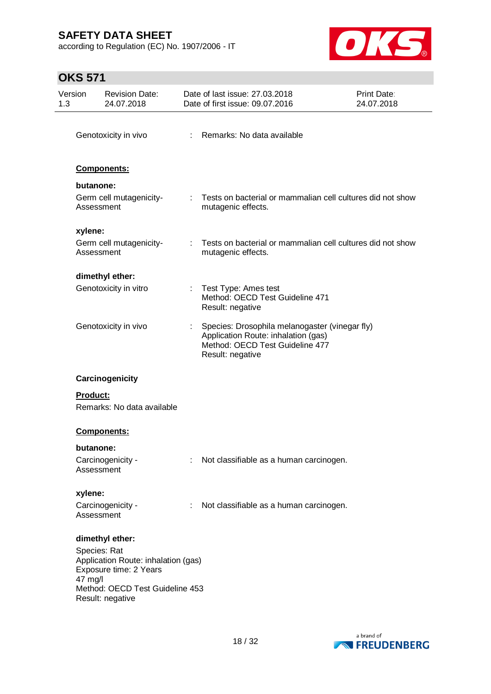according to Regulation (EC) No. 1907/2006 - IT



| 1.3 | Version         | <b>Revision Date:</b><br>24.07.2018                                                              |   | Date of last issue: 27.03.2018<br>Date of first issue: 09.07.2016                                                                            | <b>Print Date:</b><br>24.07.2018                             |
|-----|-----------------|--------------------------------------------------------------------------------------------------|---|----------------------------------------------------------------------------------------------------------------------------------------------|--------------------------------------------------------------|
|     |                 | Genotoxicity in vivo                                                                             |   | : Remarks: No data available                                                                                                                 |                                                              |
|     |                 | <b>Components:</b>                                                                               |   |                                                                                                                                              |                                                              |
|     | butanone:       |                                                                                                  |   |                                                                                                                                              |                                                              |
|     |                 | Germ cell mutagenicity-<br>Assessment                                                            |   | mutagenic effects.                                                                                                                           | : Tests on bacterial or mammalian cell cultures did not show |
|     | xylene:         |                                                                                                  |   |                                                                                                                                              |                                                              |
|     |                 | Germ cell mutagenicity-<br>Assessment                                                            |   | mutagenic effects.                                                                                                                           | : Tests on bacterial or mammalian cell cultures did not show |
|     |                 | dimethyl ether:                                                                                  |   |                                                                                                                                              |                                                              |
|     |                 | Genotoxicity in vitro                                                                            |   | : Test Type: Ames test<br>Method: OECD Test Guideline 471<br>Result: negative                                                                |                                                              |
|     |                 | Genotoxicity in vivo                                                                             |   | Species: Drosophila melanogaster (vinegar fly)<br>Application Route: inhalation (gas)<br>Method: OECD Test Guideline 477<br>Result: negative |                                                              |
|     |                 | Carcinogenicity                                                                                  |   |                                                                                                                                              |                                                              |
|     | <b>Product:</b> | Remarks: No data available                                                                       |   |                                                                                                                                              |                                                              |
|     |                 | <b>Components:</b>                                                                               |   |                                                                                                                                              |                                                              |
|     | butanone:       |                                                                                                  |   |                                                                                                                                              |                                                              |
|     |                 | Carcinogenicity -<br>Assessment                                                                  |   | Not classifiable as a human carcinogen.                                                                                                      |                                                              |
|     | xylene:         |                                                                                                  |   |                                                                                                                                              |                                                              |
|     |                 | Carcinogenicity -<br>Assessment                                                                  | ÷ | Not classifiable as a human carcinogen.                                                                                                      |                                                              |
|     |                 | dimethyl ether:<br>Species: Rat<br>Application Route: inhalation (gas)<br>Exposure time: 2 Years |   |                                                                                                                                              |                                                              |
|     | 47 mg/l         | Method: OECD Test Guideline 453<br>Result: negative                                              |   |                                                                                                                                              |                                                              |

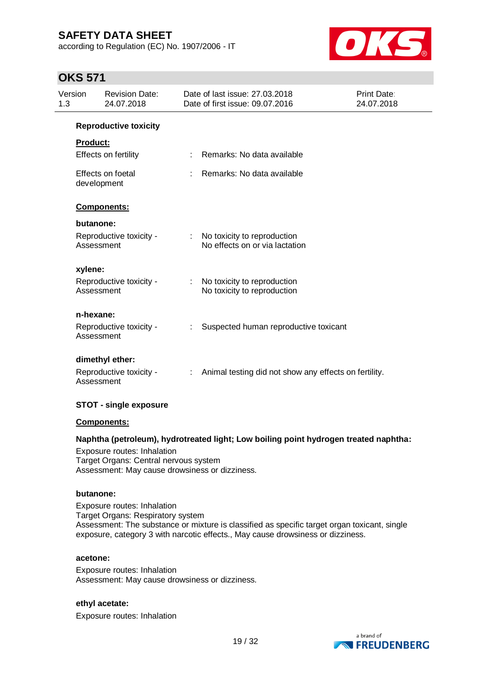according to Regulation (EC) No. 1907/2006 - IT



## **OKS 571**

| Version<br>1.3 | <b>Revision Date:</b><br>24.07.2018   |                           | Date of last issue: 27.03.2018<br>Date of first issue: 09.07.2016 | <b>Print Date:</b><br>24.07.2018 |
|----------------|---------------------------------------|---------------------------|-------------------------------------------------------------------|----------------------------------|
|                | <b>Reproductive toxicity</b>          |                           |                                                                   |                                  |
|                | <b>Product:</b>                       |                           |                                                                   |                                  |
|                | Effects on fertility                  |                           | : Remarks: No data available                                      |                                  |
|                | Effects on foetal<br>development      |                           | Remarks: No data available                                        |                                  |
|                | <b>Components:</b>                    |                           |                                                                   |                                  |
|                | butanone:                             |                           |                                                                   |                                  |
|                | Reproductive toxicity -<br>Assessment |                           | : No toxicity to reproduction<br>No effects on or via lactation   |                                  |
|                | xylene:                               |                           |                                                                   |                                  |
|                | Reproductive toxicity -<br>Assessment | $\mathbb{R}^{\mathbb{Z}}$ | No toxicity to reproduction<br>No toxicity to reproduction        |                                  |
|                | n-hexane:                             |                           |                                                                   |                                  |
|                | Reproductive toxicity -<br>Assessment |                           | Suspected human reproductive toxicant                             |                                  |
|                | dimethyl ether:                       |                           |                                                                   |                                  |
|                | Reproductive toxicity -<br>Assessment | ÷.                        | Animal testing did not show any effects on fertility.             |                                  |

#### **STOT - single exposure**

#### **Components:**

#### **Naphtha (petroleum), hydrotreated light; Low boiling point hydrogen treated naphtha:**

Exposure routes: Inhalation Target Organs: Central nervous system Assessment: May cause drowsiness or dizziness.

#### **butanone:**

Exposure routes: Inhalation Target Organs: Respiratory system Assessment: The substance or mixture is classified as specific target organ toxicant, single exposure, category 3 with narcotic effects., May cause drowsiness or dizziness.

#### **acetone:**

Exposure routes: Inhalation Assessment: May cause drowsiness or dizziness.

#### **ethyl acetate:**

Exposure routes: Inhalation

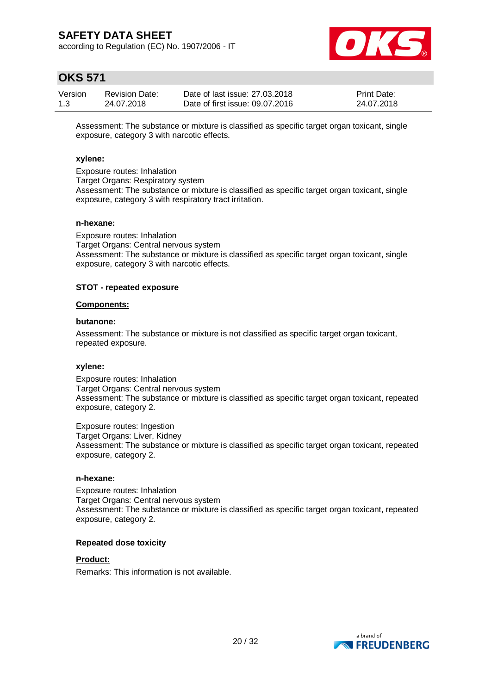according to Regulation (EC) No. 1907/2006 - IT



# **OKS 571**

| Version | <b>Revision Date:</b> | Date of last issue: 27,03,2018  | <b>Print Date:</b> |
|---------|-----------------------|---------------------------------|--------------------|
| 1.3     | 24.07.2018            | Date of first issue: 09.07.2016 | 24.07.2018         |

Assessment: The substance or mixture is classified as specific target organ toxicant, single exposure, category 3 with narcotic effects.

#### **xylene:**

Exposure routes: Inhalation Target Organs: Respiratory system Assessment: The substance or mixture is classified as specific target organ toxicant, single exposure, category 3 with respiratory tract irritation.

#### **n-hexane:**

Exposure routes: Inhalation Target Organs: Central nervous system Assessment: The substance or mixture is classified as specific target organ toxicant, single exposure, category 3 with narcotic effects.

#### **STOT - repeated exposure**

#### **Components:**

#### **butanone:**

Assessment: The substance or mixture is not classified as specific target organ toxicant, repeated exposure.

#### **xylene:**

Exposure routes: Inhalation Target Organs: Central nervous system Assessment: The substance or mixture is classified as specific target organ toxicant, repeated exposure, category 2.

Exposure routes: Ingestion Target Organs: Liver, Kidney Assessment: The substance or mixture is classified as specific target organ toxicant, repeated exposure, category 2.

#### **n-hexane:**

Exposure routes: Inhalation Target Organs: Central nervous system Assessment: The substance or mixture is classified as specific target organ toxicant, repeated exposure, category 2.

#### **Repeated dose toxicity**

**Product:**

Remarks: This information is not available.

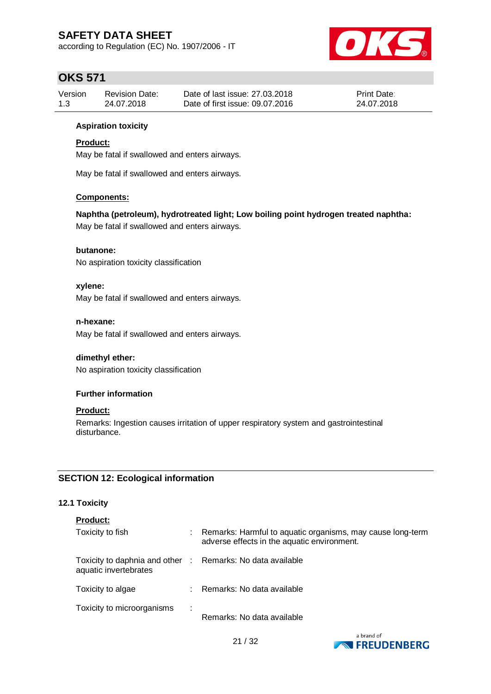according to Regulation (EC) No. 1907/2006 - IT



# **OKS 571**

| Version | <b>Revision Date:</b> | Date of last issue: 27,03,2018  | <b>Print Date:</b> |
|---------|-----------------------|---------------------------------|--------------------|
| 1.3     | 24.07.2018            | Date of first issue: 09.07.2016 | 24.07.2018         |

#### **Aspiration toxicity**

### **Product:**

May be fatal if swallowed and enters airways.

May be fatal if swallowed and enters airways.

#### **Components:**

#### **Naphtha (petroleum), hydrotreated light; Low boiling point hydrogen treated naphtha:**

May be fatal if swallowed and enters airways.

### **butanone:**

No aspiration toxicity classification

#### **xylene:**

May be fatal if swallowed and enters airways.

#### **n-hexane:**

May be fatal if swallowed and enters airways.

### **dimethyl ether:**

No aspiration toxicity classification

#### **Further information**

#### **Product:**

Remarks: Ingestion causes irritation of upper respiratory system and gastrointestinal disturbance.

### **SECTION 12: Ecological information**

### **12.1 Toxicity**

|  | Product: |  |  |
|--|----------|--|--|
|  |          |  |  |

| Toxicity to fish                                                                    |   | Remarks: Harmful to aquatic organisms, may cause long-term<br>adverse effects in the aquatic environment. |
|-------------------------------------------------------------------------------------|---|-----------------------------------------------------------------------------------------------------------|
| Toxicity to daphnia and other : Remarks: No data available<br>aquatic invertebrates |   |                                                                                                           |
| Toxicity to algae                                                                   |   | : Remarks: No data available                                                                              |
| Toxicity to microorganisms                                                          | ÷ | Remarks: No data available                                                                                |

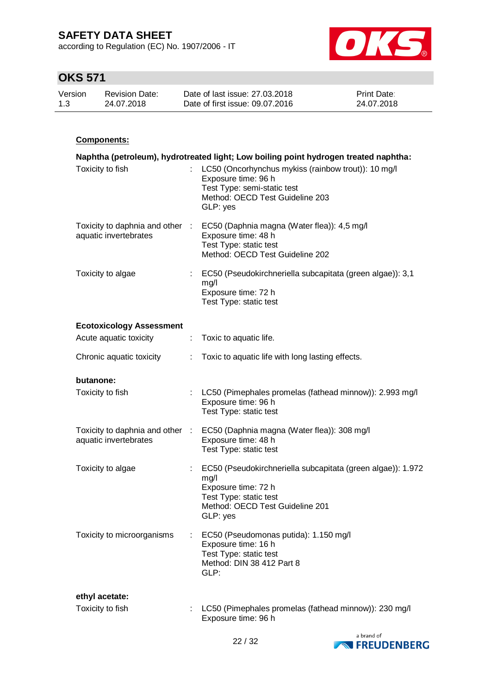according to Regulation (EC) No. 1907/2006 - IT



# **OKS 571**

| Version | <b>Revision Date:</b> | Date of last issue: 27,03,2018  | <b>Print Date:</b> |
|---------|-----------------------|---------------------------------|--------------------|
| 1.3     | 24.07.2018            | Date of first issue: 09.07.2016 | 24.07.2018         |

### **Components:**

|                                                          |     | Naphtha (petroleum), hydrotreated light; Low boiling point hydrogen treated naphtha:                                                                                |
|----------------------------------------------------------|-----|---------------------------------------------------------------------------------------------------------------------------------------------------------------------|
| Toxicity to fish                                         |     | : LC50 (Oncorhynchus mykiss (rainbow trout)): 10 mg/l<br>Exposure time: 96 h<br>Test Type: semi-static test<br>Method: OECD Test Guideline 203<br>GLP: yes          |
| Toxicity to daphnia and other :<br>aquatic invertebrates |     | EC50 (Daphnia magna (Water flea)): 4,5 mg/l<br>Exposure time: 48 h<br>Test Type: static test<br>Method: OECD Test Guideline 202                                     |
| Toxicity to algae                                        |     | : EC50 (Pseudokirchneriella subcapitata (green algae)): 3,1<br>mg/l<br>Exposure time: 72 h<br>Test Type: static test                                                |
| <b>Ecotoxicology Assessment</b>                          |     |                                                                                                                                                                     |
| Acute aquatic toxicity                                   | ÷.  | Toxic to aquatic life.                                                                                                                                              |
| Chronic aquatic toxicity                                 |     | Toxic to aquatic life with long lasting effects.                                                                                                                    |
| butanone:                                                |     |                                                                                                                                                                     |
| Toxicity to fish                                         |     | LC50 (Pimephales promelas (fathead minnow)): 2.993 mg/l<br>Exposure time: 96 h<br>Test Type: static test                                                            |
| Toxicity to daphnia and other :<br>aquatic invertebrates |     | EC50 (Daphnia magna (Water flea)): 308 mg/l<br>Exposure time: 48 h<br>Test Type: static test                                                                        |
| Toxicity to algae                                        | t i | EC50 (Pseudokirchneriella subcapitata (green algae)): 1.972<br>mg/l<br>Exposure time: 72 h<br>Test Type: static test<br>Method: OECD Test Guideline 201<br>GLP: yes |
| Toxicity to microorganisms                               |     | EC50 (Pseudomonas putida): 1.150 mg/l<br>Exposure time: 16 h<br>Test Type: static test<br>Method: DIN 38 412 Part 8<br>GLP:                                         |
| ethyl acetate:                                           |     |                                                                                                                                                                     |
| Toxicity to fish                                         |     | LC50 (Pimephales promelas (fathead minnow)): 230 mg/l<br>Exposure time: 96 h                                                                                        |

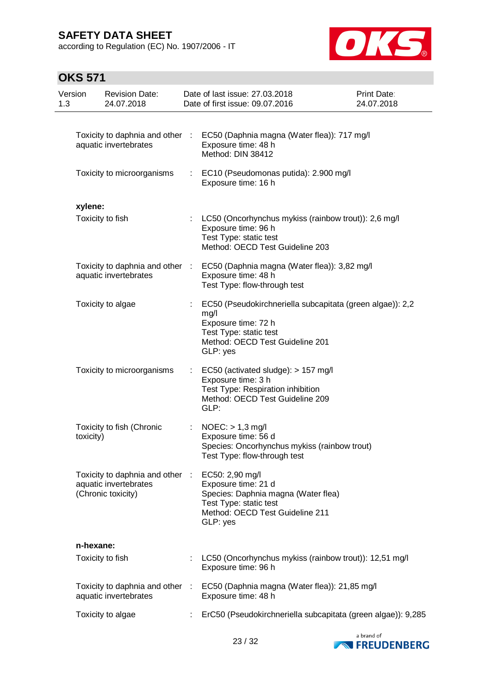according to Regulation (EC) No. 1907/2006 - IT



| Version<br>1.3   | <b>Revision Date:</b><br>24.07.2018                                            |    | Date of last issue: 27.03.2018<br>Date of first issue: 09.07.2016                                                                                                 | Print Date:<br>24.07.2018 |
|------------------|--------------------------------------------------------------------------------|----|-------------------------------------------------------------------------------------------------------------------------------------------------------------------|---------------------------|
|                  | Toxicity to daphnia and other :<br>aquatic invertebrates                       |    | EC50 (Daphnia magna (Water flea)): 717 mg/l<br>Exposure time: 48 h<br>Method: DIN 38412                                                                           |                           |
|                  | Toxicity to microorganisms                                                     | ÷. | EC10 (Pseudomonas putida): 2.900 mg/l<br>Exposure time: 16 h                                                                                                      |                           |
| xylene:          |                                                                                |    |                                                                                                                                                                   |                           |
| Toxicity to fish |                                                                                |    | : LC50 (Oncorhynchus mykiss (rainbow trout)): 2,6 mg/l<br>Exposure time: 96 h<br>Test Type: static test<br>Method: OECD Test Guideline 203                        |                           |
|                  | Toxicity to daphnia and other :<br>aquatic invertebrates                       |    | EC50 (Daphnia magna (Water flea)): 3,82 mg/l<br>Exposure time: 48 h<br>Test Type: flow-through test                                                               |                           |
|                  | Toxicity to algae                                                              |    | EC50 (Pseudokirchneriella subcapitata (green algae)): 2,2<br>mg/l<br>Exposure time: 72 h<br>Test Type: static test<br>Method: OECD Test Guideline 201<br>GLP: yes |                           |
|                  | Toxicity to microorganisms                                                     |    | EC50 (activated sludge): > 157 mg/l<br>Exposure time: 3 h<br>Test Type: Respiration inhibition<br>Method: OECD Test Guideline 209<br>GLP:                         |                           |
| toxicity)        | Toxicity to fish (Chronic                                                      | ÷. | $NOEC:$ > 1,3 mg/l<br>Exposure time: 56 d<br>Species: Oncorhynchus mykiss (rainbow trout)<br>Test Type: flow-through test                                         |                           |
|                  | Toxicity to daphnia and other :<br>aquatic invertebrates<br>(Chronic toxicity) |    | EC50: 2,90 mg/l<br>Exposure time: 21 d<br>Species: Daphnia magna (Water flea)<br>Test Type: static test<br>Method: OECD Test Guideline 211<br>GLP: yes            |                           |
| n-hexane:        |                                                                                |    |                                                                                                                                                                   |                           |
| Toxicity to fish |                                                                                |    | LC50 (Oncorhynchus mykiss (rainbow trout)): 12,51 mg/l<br>Exposure time: 96 h                                                                                     |                           |
|                  | Toxicity to daphnia and other :<br>aquatic invertebrates                       |    | EC50 (Daphnia magna (Water flea)): 21,85 mg/l<br>Exposure time: 48 h                                                                                              |                           |
|                  | Toxicity to algae                                                              |    | ErC50 (Pseudokirchneriella subcapitata (green algae)): 9,285                                                                                                      |                           |

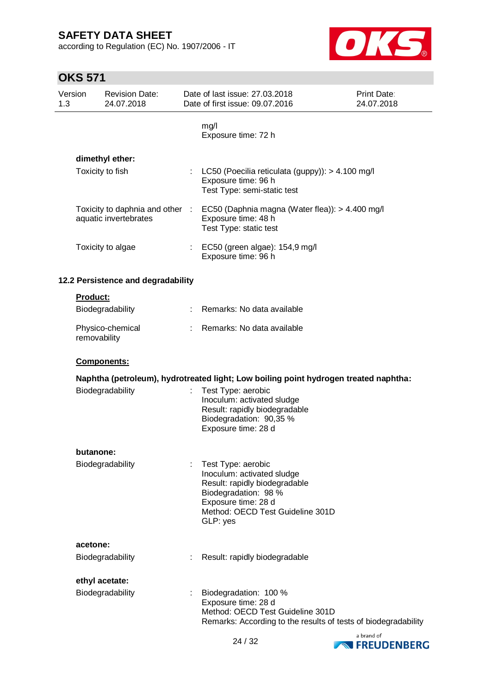according to Regulation (EC) No. 1907/2006 - IT



| Version<br>1.3 |                 | <b>Revision Date:</b><br>24.07.2018                    |                | Date of last issue: 27,03,2018<br>Date of first issue: 09.07.2016                                                                                                                | Print Date:<br>24.07.2018 |
|----------------|-----------------|--------------------------------------------------------|----------------|----------------------------------------------------------------------------------------------------------------------------------------------------------------------------------|---------------------------|
|                |                 |                                                        |                | mg/l<br>Exposure time: 72 h                                                                                                                                                      |                           |
|                |                 | dimethyl ether:                                        |                |                                                                                                                                                                                  |                           |
|                |                 | Toxicity to fish                                       | $\mathbb{R}^n$ | LC50 (Poecilia reticulata (guppy)): > 4.100 mg/l<br>Exposure time: 96 h<br>Test Type: semi-static test                                                                           |                           |
|                |                 | Toxicity to daphnia and other<br>aquatic invertebrates | -17            | EC50 (Daphnia magna (Water flea)): > 4.400 mg/l<br>Exposure time: 48 h<br>Test Type: static test                                                                                 |                           |
|                |                 | Toxicity to algae                                      |                | EC50 (green algae): 154,9 mg/l<br>Exposure time: 96 h                                                                                                                            |                           |
|                |                 | 12.2 Persistence and degradability                     |                |                                                                                                                                                                                  |                           |
|                | <b>Product:</b> |                                                        |                |                                                                                                                                                                                  |                           |
|                |                 | Biodegradability                                       |                | Remarks: No data available                                                                                                                                                       |                           |
|                | removability    | Physico-chemical                                       |                | Remarks: No data available                                                                                                                                                       |                           |
|                |                 | Components:                                            |                |                                                                                                                                                                                  |                           |
|                |                 |                                                        |                | Naphtha (petroleum), hydrotreated light; Low boiling point hydrogen treated naphtha:                                                                                             |                           |
|                |                 | Biodegradability                                       |                | Test Type: aerobic<br>Inoculum: activated sludge<br>Result: rapidly biodegradable<br>Biodegradation: 90,35 %<br>Exposure time: 28 d                                              |                           |
|                | butanone:       |                                                        |                |                                                                                                                                                                                  |                           |
|                |                 | Biodegradability                                       |                | Test Type: aerobic<br>Inoculum: activated sludge<br>Result: rapidly biodegradable<br>Biodegradation: 98 %<br>Exposure time: 28 d<br>Method: OECD Test Guideline 301D<br>GLP: yes |                           |
|                | acetone:        |                                                        |                |                                                                                                                                                                                  |                           |
|                |                 | Biodegradability                                       |                | Result: rapidly biodegradable                                                                                                                                                    |                           |
|                |                 | ethyl acetate:                                         |                |                                                                                                                                                                                  |                           |
|                |                 | Biodegradability                                       |                | Biodegradation: 100 %<br>Exposure time: 28 d<br>Method: OECD Test Guideline 301D<br>Remarks: According to the results of tests of biodegradability                               |                           |

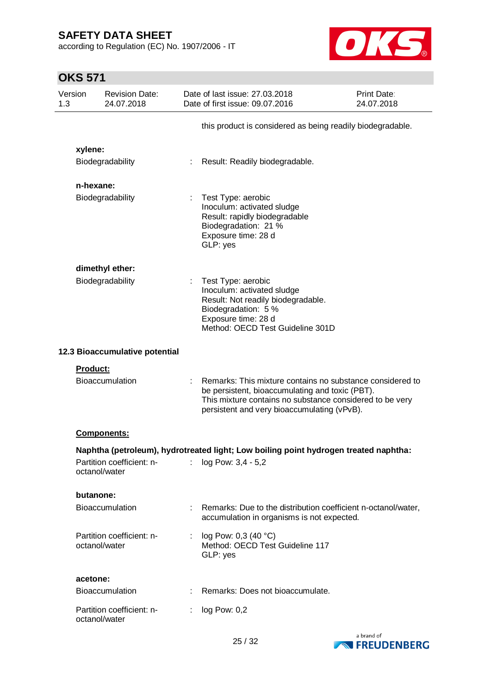according to Regulation (EC) No. 1907/2006 - IT



| Version<br>1.3 |                 | <b>Revision Date:</b><br>24.07.2018 |    | Date of last issue: 27.03.2018<br>Date of first issue: 09.07.2016                                                                                                                                                       | <b>Print Date:</b><br>24.07.2018 |
|----------------|-----------------|-------------------------------------|----|-------------------------------------------------------------------------------------------------------------------------------------------------------------------------------------------------------------------------|----------------------------------|
|                |                 |                                     |    | this product is considered as being readily biodegradable.                                                                                                                                                              |                                  |
|                | xylene:         |                                     |    |                                                                                                                                                                                                                         |                                  |
|                |                 | Biodegradability                    |    | Result: Readily biodegradable.                                                                                                                                                                                          |                                  |
|                | n-hexane:       |                                     |    |                                                                                                                                                                                                                         |                                  |
|                |                 | Biodegradability                    |    | Test Type: aerobic<br>Inoculum: activated sludge<br>Result: rapidly biodegradable<br>Biodegradation: 21 %<br>Exposure time: 28 d<br>GLP: yes                                                                            |                                  |
|                |                 | dimethyl ether:                     |    |                                                                                                                                                                                                                         |                                  |
|                |                 | Biodegradability                    |    | Test Type: aerobic<br>Inoculum: activated sludge<br>Result: Not readily biodegradable.<br>Biodegradation: 5 %<br>Exposure time: 28 d<br>Method: OECD Test Guideline 301D                                                |                                  |
|                |                 | 12.3 Bioaccumulative potential      |    |                                                                                                                                                                                                                         |                                  |
|                | <b>Product:</b> |                                     |    |                                                                                                                                                                                                                         |                                  |
|                |                 | Bioaccumulation                     |    | Remarks: This mixture contains no substance considered to<br>be persistent, bioaccumulating and toxic (PBT).<br>This mixture contains no substance considered to be very<br>persistent and very bioaccumulating (vPvB). |                                  |
|                |                 | <b>Components:</b>                  |    |                                                                                                                                                                                                                         |                                  |
|                |                 |                                     |    | Naphtha (petroleum), hydrotreated light; Low boiling point hydrogen treated naphtha:                                                                                                                                    |                                  |
|                | octanol/water   | Partition coefficient: n-           |    | : $log Pow: 3, 4 - 5, 2$                                                                                                                                                                                                |                                  |
|                | butanone:       |                                     |    |                                                                                                                                                                                                                         |                                  |
|                |                 | <b>Bioaccumulation</b>              |    | : Remarks: Due to the distribution coefficient n-octanol/water,<br>accumulation in organisms is not expected.                                                                                                           |                                  |
|                | octanol/water   | Partition coefficient: n-           | ÷. | log Pow: 0,3 (40 °C)<br>Method: OECD Test Guideline 117<br>GLP: yes                                                                                                                                                     |                                  |
|                | acetone:        |                                     |    |                                                                                                                                                                                                                         |                                  |
|                |                 | <b>Bioaccumulation</b>              |    | Remarks: Does not bioaccumulate.                                                                                                                                                                                        |                                  |
|                | octanol/water   | Partition coefficient: n-           | ÷. | $log$ Pow: $0,2$                                                                                                                                                                                                        |                                  |

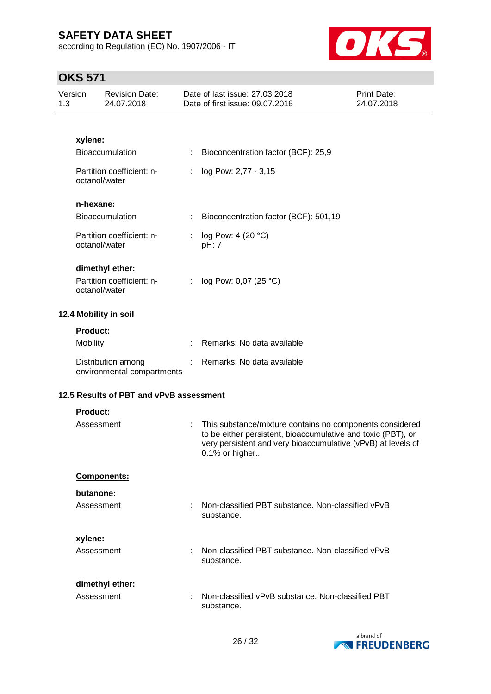according to Regulation (EC) No. 1907/2006 - IT



| Version<br>1.3 |                 | <b>Revision Date:</b><br>24.07.2018                           |   | Date of last issue: 27.03.2018<br>Date of first issue: 09.07.2016                                                                                                                                          | Print Date:<br>24.07.2018 |
|----------------|-----------------|---------------------------------------------------------------|---|------------------------------------------------------------------------------------------------------------------------------------------------------------------------------------------------------------|---------------------------|
|                |                 |                                                               |   |                                                                                                                                                                                                            |                           |
|                | xylene:         |                                                               |   |                                                                                                                                                                                                            |                           |
|                |                 | Bioaccumulation                                               | ÷ | Bioconcentration factor (BCF): 25,9                                                                                                                                                                        |                           |
|                |                 | Partition coefficient: n-<br>octanol/water                    | ÷ | log Pow: 2,77 - 3,15                                                                                                                                                                                       |                           |
|                | n-hexane:       |                                                               |   |                                                                                                                                                                                                            |                           |
|                |                 | <b>Bioaccumulation</b>                                        | ÷ | Bioconcentration factor (BCF): 501,19                                                                                                                                                                      |                           |
|                |                 | Partition coefficient: n-<br>octanol/water                    | ÷ | log Pow: 4 (20 °C)<br>pH: 7                                                                                                                                                                                |                           |
|                |                 | dimethyl ether:<br>Partition coefficient: n-<br>octanol/water | ÷ | log Pow: 0,07 (25 °C)                                                                                                                                                                                      |                           |
|                |                 | 12.4 Mobility in soil                                         |   |                                                                                                                                                                                                            |                           |
|                | <b>Product:</b> |                                                               |   |                                                                                                                                                                                                            |                           |
|                | <b>Mobility</b> |                                                               |   | Remarks: No data available                                                                                                                                                                                 |                           |
|                |                 | Distribution among<br>environmental compartments              |   | Remarks: No data available                                                                                                                                                                                 |                           |
|                |                 | 12.5 Results of PBT and vPvB assessment                       |   |                                                                                                                                                                                                            |                           |
|                | Product:        |                                                               |   |                                                                                                                                                                                                            |                           |
|                |                 | Assessment                                                    | ÷ | This substance/mixture contains no components considered<br>to be either persistent, bioaccumulative and toxic (PBT), or<br>very persistent and very bioaccumulative (vPvB) at levels of<br>0.1% or higher |                           |
|                |                 | Components:                                                   |   |                                                                                                                                                                                                            |                           |
|                | butanone:       |                                                               |   |                                                                                                                                                                                                            |                           |
|                |                 | Assessment                                                    |   | Non-classified PBT substance, Non-classified vPvB<br>substance.                                                                                                                                            |                           |
|                | xylene:         |                                                               |   |                                                                                                                                                                                                            |                           |
|                |                 | Assessment                                                    | ÷ | Non-classified PBT substance. Non-classified vPvB<br>substance.                                                                                                                                            |                           |
|                |                 | dimethyl ether:                                               |   |                                                                                                                                                                                                            |                           |
|                |                 | Assessment                                                    | ÷ | Non-classified vPvB substance, Non-classified PBT<br>substance.                                                                                                                                            |                           |

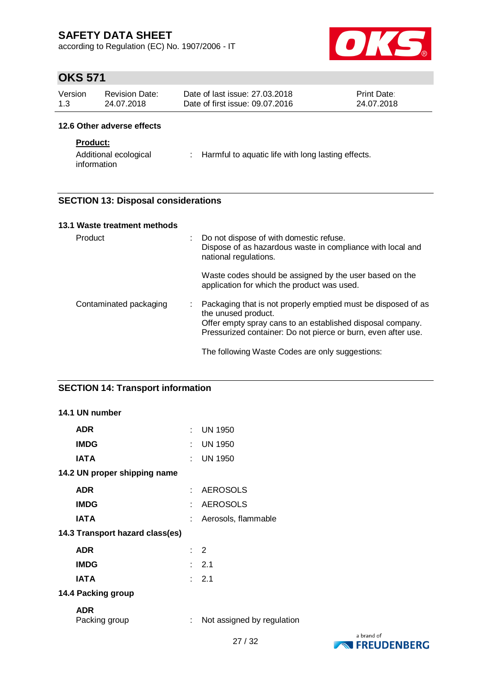according to Regulation (EC) No. 1907/2006 - IT



# **OKS 571**

| Version | <b>Revision Date:</b> | Date of last issue: 27,03,2018  | <b>Print Date:</b> |
|---------|-----------------------|---------------------------------|--------------------|
| 1.3     | 24.07.2018            | Date of first issue: 09.07.2016 | 24.07.2018         |

#### **12.6 Other adverse effects**

### **Product:**

Additional ecological information : Harmful to aquatic life with long lasting effects.

### **SECTION 13: Disposal considerations**

| 13.1 Waste treatment methods |   |                                                                                                                                                                                                                     |
|------------------------------|---|---------------------------------------------------------------------------------------------------------------------------------------------------------------------------------------------------------------------|
| Product                      | ÷ | Do not dispose of with domestic refuse.<br>Dispose of as hazardous waste in compliance with local and<br>national regulations.                                                                                      |
|                              |   | Waste codes should be assigned by the user based on the<br>application for which the product was used.                                                                                                              |
| Contaminated packaging       | ÷ | Packaging that is not properly emptied must be disposed of as<br>the unused product.<br>Offer empty spray cans to an established disposal company.<br>Pressurized container: Do not pierce or burn, even after use. |
|                              |   | The following Waste Codes are only suggestions:                                                                                                                                                                     |

### **SECTION 14: Transport information**

| 14.1 UN number                  |                           |                            |            |
|---------------------------------|---------------------------|----------------------------|------------|
| <b>ADR</b>                      |                           | : UN 1950                  |            |
| <b>IMDG</b>                     |                           | : UN 1950                  |            |
| <b>IATA</b>                     |                           | : UN 1950                  |            |
| 14.2 UN proper shipping name    |                           |                            |            |
| <b>ADR</b>                      |                           | : AEROSOLS                 |            |
| <b>IMDG</b>                     | t.                        | AEROSOLS                   |            |
| <b>IATA</b>                     | ÷                         | Aerosols, flammable        |            |
| 14.3 Transport hazard class(es) |                           |                            |            |
| <b>ADR</b>                      |                           | $\therefore$ 2             |            |
| <b>IMDG</b>                     |                           | $\therefore$ 2.1           |            |
| <b>IATA</b>                     |                           | $\therefore$ 2.1           |            |
| 14.4 Packing group              |                           |                            |            |
| <b>ADR</b><br>Packing group     | $\mathbb{Z}^{\mathbb{Z}}$ | Not assigned by regulation |            |
|                                 |                           | 27/22                      | a brand of |

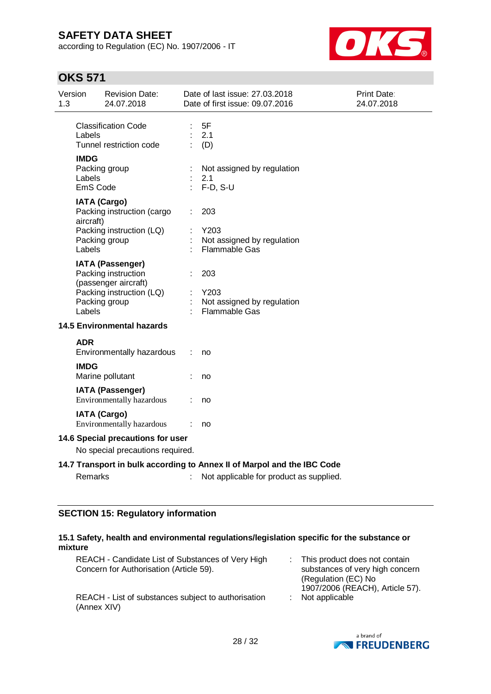according to Regulation (EC) No. 1907/2006 - IT



# **OKS 571**

| Version<br>1.3 |                                                                         | <b>Revision Date:</b><br>24.07.2018                                    |  | Date of last issue: 27.03.2018<br>Date of first issue: 09.07.2016 | <b>Print Date:</b><br>24.07.2018 |  |
|----------------|-------------------------------------------------------------------------|------------------------------------------------------------------------|--|-------------------------------------------------------------------|----------------------------------|--|
|                | Labels                                                                  | <b>Classification Code</b><br>Tunnel restriction code                  |  | 5F<br>2.1<br>(D)                                                  |                                  |  |
|                | <b>IMDG</b><br>Labels<br>EmS Code                                       | Packing group                                                          |  | Not assigned by regulation<br>2.1<br>$F-D, S-U$                   |                                  |  |
|                | aircraft)                                                               | <b>IATA (Cargo)</b><br>Packing instruction (cargo                      |  | 203                                                               |                                  |  |
|                | Labels                                                                  | Packing instruction (LQ)<br>Packing group                              |  | Y203<br>Not assigned by regulation<br>Flammable Gas               |                                  |  |
|                |                                                                         | <b>IATA (Passenger)</b><br>Packing instruction<br>(passenger aircraft) |  | 203                                                               |                                  |  |
|                | Labels                                                                  | Packing instruction (LQ)<br>Packing group                              |  | Y203<br>Not assigned by regulation<br><b>Flammable Gas</b>        |                                  |  |
|                |                                                                         | <b>14.5 Environmental hazards</b>                                      |  |                                                                   |                                  |  |
|                | <b>ADR</b>                                                              | Environmentally hazardous                                              |  | no                                                                |                                  |  |
|                | <b>IMDG</b>                                                             | Marine pollutant                                                       |  | no                                                                |                                  |  |
|                |                                                                         | <b>IATA (Passenger)</b><br>Environmentally hazardous                   |  | no                                                                |                                  |  |
|                |                                                                         | <b>IATA (Cargo)</b><br>Environmentally hazardous                       |  | no                                                                |                                  |  |
|                |                                                                         | 14.6 Special precautions for user                                      |  |                                                                   |                                  |  |
|                | No special precautions required.                                        |                                                                        |  |                                                                   |                                  |  |
|                | 14.7 Transport in bulk according to Annex II of Marpol and the IBC Code |                                                                        |  |                                                                   |                                  |  |
|                | Remarks                                                                 |                                                                        |  | Not applicable for product as supplied.                           |                                  |  |

## **SECTION 15: Regulatory information**

| 15.1 Safety, health and environmental regulations/legislation specific for the substance or |  |
|---------------------------------------------------------------------------------------------|--|
| mixture                                                                                     |  |

| REACH - Candidate List of Substances of Very High<br>Concern for Authorisation (Article 59). | : This product does not contain<br>substances of very high concern<br>(Regulation (EC) No<br>1907/2006 (REACH), Article 57). |  |
|----------------------------------------------------------------------------------------------|------------------------------------------------------------------------------------------------------------------------------|--|
| REACH - List of substances subject to authorisation<br>(Annex XIV)                           | $:$ Not applicable                                                                                                           |  |

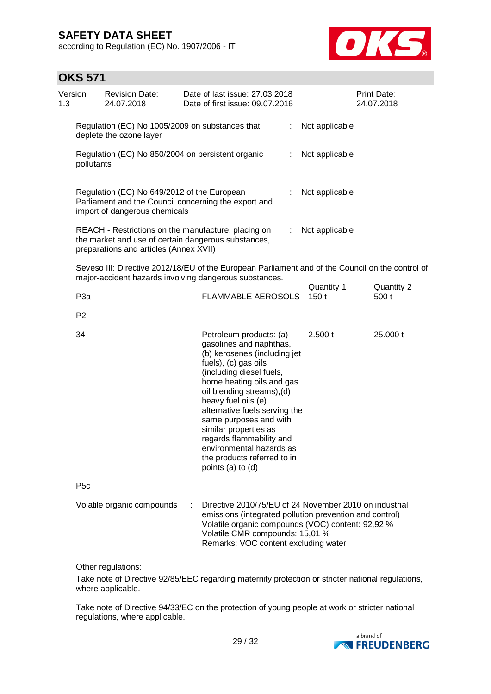according to Regulation (EC) No. 1907/2006 - IT



# **OKS 571**

| Version<br>1.3 |                  | <b>Revision Date:</b><br>24.07.2018                                                                                                                  | Date of last issue: 27.03.2018<br>Date of first issue: 09.07.2016                                                                                                                                                                                                                                                                                                                                                        |    |                    | Print Date:<br>24.07.2018 |
|----------------|------------------|------------------------------------------------------------------------------------------------------------------------------------------------------|--------------------------------------------------------------------------------------------------------------------------------------------------------------------------------------------------------------------------------------------------------------------------------------------------------------------------------------------------------------------------------------------------------------------------|----|--------------------|---------------------------|
|                |                  | Regulation (EC) No 1005/2009 on substances that<br>deplete the ozone layer                                                                           |                                                                                                                                                                                                                                                                                                                                                                                                                          | ÷. | Not applicable     |                           |
|                | pollutants       | Regulation (EC) No 850/2004 on persistent organic                                                                                                    |                                                                                                                                                                                                                                                                                                                                                                                                                          | ÷. | Not applicable     |                           |
|                |                  | Regulation (EC) No 649/2012 of the European<br>Parliament and the Council concerning the export and<br>import of dangerous chemicals                 |                                                                                                                                                                                                                                                                                                                                                                                                                          |    | Not applicable     |                           |
|                |                  | REACH - Restrictions on the manufacture, placing on<br>the market and use of certain dangerous substances,<br>preparations and articles (Annex XVII) |                                                                                                                                                                                                                                                                                                                                                                                                                          | ÷. | Not applicable     |                           |
|                |                  |                                                                                                                                                      | Seveso III: Directive 2012/18/EU of the European Parliament and of the Council on the control of<br>major-accident hazards involving dangerous substances.                                                                                                                                                                                                                                                               |    |                    |                           |
|                | P <sub>3a</sub>  |                                                                                                                                                      | <b>FLAMMABLE AEROSOLS</b>                                                                                                                                                                                                                                                                                                                                                                                                |    | Quantity 1<br>150t | Quantity 2<br>500 t       |
|                | P <sub>2</sub>   |                                                                                                                                                      |                                                                                                                                                                                                                                                                                                                                                                                                                          |    |                    |                           |
|                | 34               |                                                                                                                                                      | Petroleum products: (a)<br>gasolines and naphthas,<br>(b) kerosenes (including jet<br>fuels), (c) gas oils<br>(including diesel fuels,<br>home heating oils and gas<br>oil blending streams), (d)<br>heavy fuel oils (e)<br>alternative fuels serving the<br>same purposes and with<br>similar properties as<br>regards flammability and<br>environmental hazards as<br>the products referred to in<br>points (a) to (d) |    | 2.500t             | 25.000 t                  |
|                | P <sub>5</sub> c |                                                                                                                                                      |                                                                                                                                                                                                                                                                                                                                                                                                                          |    |                    |                           |
|                |                  | Volatile organic compounds                                                                                                                           | Directive 2010/75/EU of 24 November 2010 on industrial<br>emissions (integrated pollution prevention and control)<br>Volatile organic compounds (VOC) content: 92,92 %<br>Volatile CMR compounds: 15,01 %<br>Remarks: VOC content excluding water                                                                                                                                                                        |    |                    |                           |
|                |                  |                                                                                                                                                      |                                                                                                                                                                                                                                                                                                                                                                                                                          |    |                    |                           |

Other regulations:

Take note of Directive 92/85/EEC regarding maternity protection or stricter national regulations, where applicable.

Take note of Directive 94/33/EC on the protection of young people at work or stricter national regulations, where applicable.

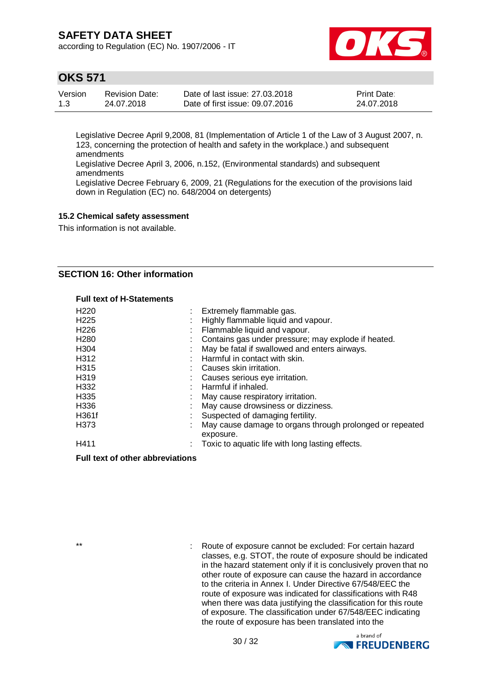according to Regulation (EC) No. 1907/2006 - IT



## **OKS 571**

| Version | <b>Revision Date:</b> | Date of last issue: 27,03,2018  | <b>Print Date:</b> |
|---------|-----------------------|---------------------------------|--------------------|
| 1.3     | 24.07.2018            | Date of first issue: 09.07.2016 | 24.07.2018         |

Legislative Decree April 9,2008, 81 (Implementation of Article 1 of the Law of 3 August 2007, n. 123, concerning the protection of health and safety in the workplace.) and subsequent amendments

Legislative Decree April 3, 2006, n.152, (Environmental standards) and subsequent amendments

Legislative Decree February 6, 2009, 21 (Regulations for the execution of the provisions laid down in Regulation (EC) no. 648/2004 on detergents)

#### **15.2 Chemical safety assessment**

This information is not available.

### **SECTION 16: Other information**

#### **Full text of H-Statements**

| H <sub>220</sub> | Extremely flammable gas.                                              |
|------------------|-----------------------------------------------------------------------|
| H <sub>225</sub> | Highly flammable liquid and vapour.                                   |
| H <sub>226</sub> | Flammable liquid and vapour.                                          |
| H <sub>280</sub> | Contains gas under pressure; may explode if heated.                   |
| H304             | May be fatal if swallowed and enters airways.                         |
| H312             | Harmful in contact with skin.                                         |
| H315             | Causes skin irritation.                                               |
| H <sub>319</sub> | Causes serious eye irritation.                                        |
| H332             | Harmful if inhaled.                                                   |
| H335             | May cause respiratory irritation.                                     |
| H336             | May cause drowsiness or dizziness.                                    |
| H361f            | Suspected of damaging fertility.                                      |
| H373             | May cause damage to organs through prolonged or repeated<br>exposure. |
| H411             | Toxic to aquatic life with long lasting effects.                      |
|                  |                                                                       |

#### **Full text of other abbreviations**

\*\* : Route of exposure cannot be excluded: For certain hazard classes, e.g. STOT, the route of exposure should be indicated in the hazard statement only if it is conclusively proven that no other route of exposure can cause the hazard in accordance to the criteria in Annex I. Under Directive 67/548/EEC the route of exposure was indicated for classifications with R48 when there was data justifying the classification for this route of exposure. The classification under 67/548/EEC indicating the route of exposure has been translated into the

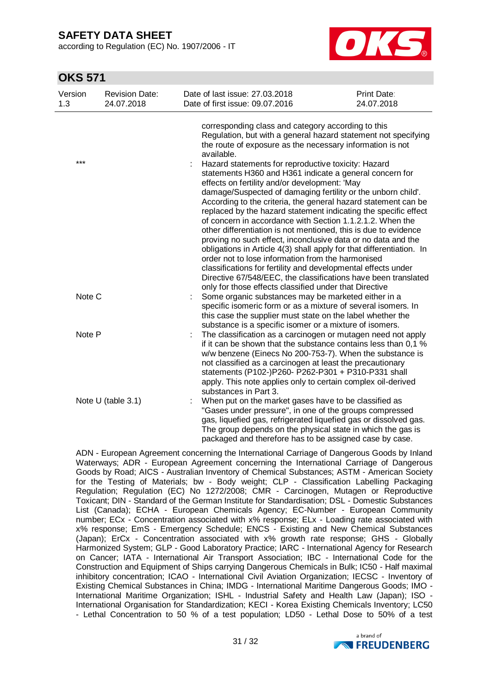according to Regulation (EC) No. 1907/2006 - IT



## **OKS 571**

| Version<br>1.3 | <b>Revision Date:</b><br>24.07.2018 | Date of last issue: 27.03.2018<br>Date of first issue: 09.07.2016                                                                                                                                                                                                                                                                                                                            | <b>Print Date:</b><br>24.07.2018 |
|----------------|-------------------------------------|----------------------------------------------------------------------------------------------------------------------------------------------------------------------------------------------------------------------------------------------------------------------------------------------------------------------------------------------------------------------------------------------|----------------------------------|
|                |                                     | corresponding class and category according to this<br>Regulation, but with a general hazard statement not specifying<br>the route of exposure as the necessary information is not<br>available.                                                                                                                                                                                              |                                  |
| $***$          |                                     | Hazard statements for reproductive toxicity: Hazard<br>statements H360 and H361 indicate a general concern for<br>effects on fertility and/or development: 'May<br>damage/Suspected of damaging fertility or the unborn child'.<br>According to the criteria, the general hazard statement can be                                                                                            |                                  |
|                |                                     | replaced by the hazard statement indicating the specific effect<br>of concern in accordance with Section 1.1.2.1.2. When the<br>other differentiation is not mentioned, this is due to evidence<br>proving no such effect, inconclusive data or no data and the<br>obligations in Article 4(3) shall apply for that differentiation. In<br>order not to lose information from the harmonised |                                  |
|                |                                     | classifications for fertility and developmental effects under<br>Directive 67/548/EEC, the classifications have been translated<br>only for those effects classified under that Directive                                                                                                                                                                                                    |                                  |
| Note C         |                                     | Some organic substances may be marketed either in a<br>specific isomeric form or as a mixture of several isomers. In<br>this case the supplier must state on the label whether the<br>substance is a specific isomer or a mixture of isomers.                                                                                                                                                |                                  |
| Note P         |                                     | The classification as a carcinogen or mutagen need not apply<br>if it can be shown that the substance contains less than 0,1 %<br>w/w benzene (Einecs No 200-753-7). When the substance is<br>not classified as a carcinogen at least the precautionary<br>statements (P102-)P260- P262-P301 + P310-P331 shall<br>apply. This note applies only to certain complex oil-derived               |                                  |
|                | Note U (table 3.1)                  | substances in Part 3.<br>When put on the market gases have to be classified as<br>"Gases under pressure", in one of the groups compressed<br>gas, liquefied gas, refrigerated liquefied gas or dissolved gas.<br>The group depends on the physical state in which the gas is<br>packaged and therefore has to be assigned case by case.                                                      |                                  |

ADN - European Agreement concerning the International Carriage of Dangerous Goods by Inland Waterways; ADR - European Agreement concerning the International Carriage of Dangerous Goods by Road; AICS - Australian Inventory of Chemical Substances; ASTM - American Society for the Testing of Materials; bw - Body weight; CLP - Classification Labelling Packaging Regulation; Regulation (EC) No 1272/2008; CMR - Carcinogen, Mutagen or Reproductive Toxicant; DIN - Standard of the German Institute for Standardisation; DSL - Domestic Substances List (Canada); ECHA - European Chemicals Agency; EC-Number - European Community number; ECx - Concentration associated with x% response; ELx - Loading rate associated with x% response; EmS - Emergency Schedule; ENCS - Existing and New Chemical Substances (Japan); ErCx - Concentration associated with x% growth rate response; GHS - Globally Harmonized System; GLP - Good Laboratory Practice; IARC - International Agency for Research on Cancer; IATA - International Air Transport Association; IBC - International Code for the Construction and Equipment of Ships carrying Dangerous Chemicals in Bulk; IC50 - Half maximal inhibitory concentration; ICAO - International Civil Aviation Organization; IECSC - Inventory of Existing Chemical Substances in China; IMDG - International Maritime Dangerous Goods; IMO - International Maritime Organization; ISHL - Industrial Safety and Health Law (Japan); ISO - International Organisation for Standardization; KECI - Korea Existing Chemicals Inventory; LC50 - Lethal Concentration to 50 % of a test population; LD50 - Lethal Dose to 50% of a test